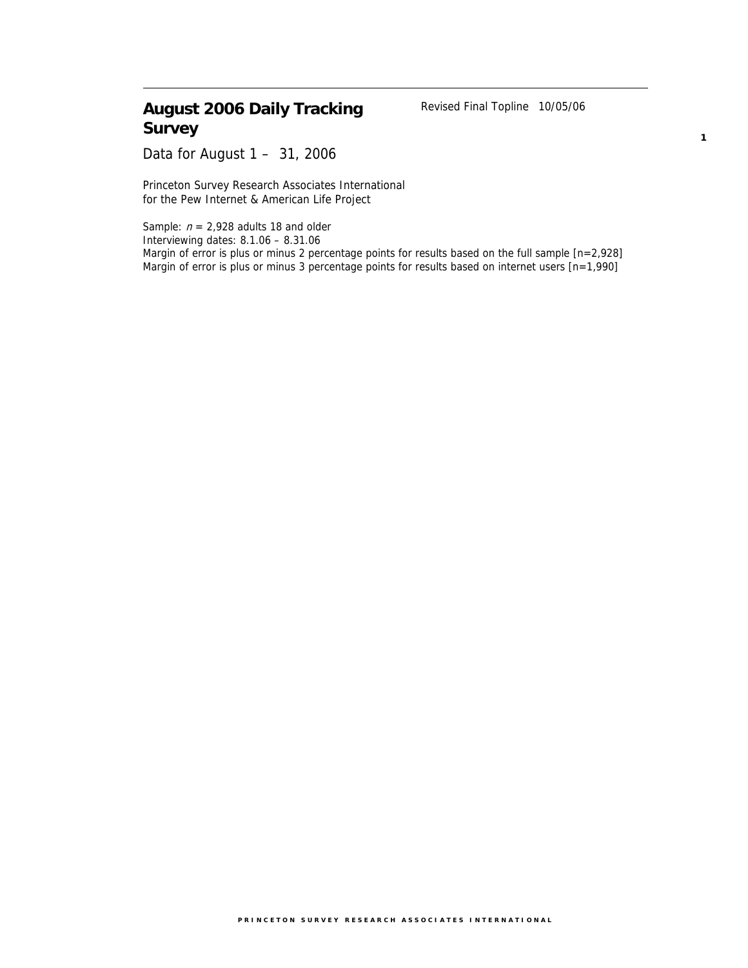# **August 2006 Daily Tracking Survey**

Revised Final Topline 10/05/06

**1**

Data for August 1 – 31, 2006

Princeton Survey Research Associates International for the Pew Internet & American Life Project

Sample:  $n = 2,928$  adults 18 and older Interviewing dates: 8.1.06 – 8.31.06 Margin of error is plus or minus 2 percentage points for results based on the full sample [n=2,928] Margin of error is plus or minus 3 percentage points for results based on internet users [n=1,990]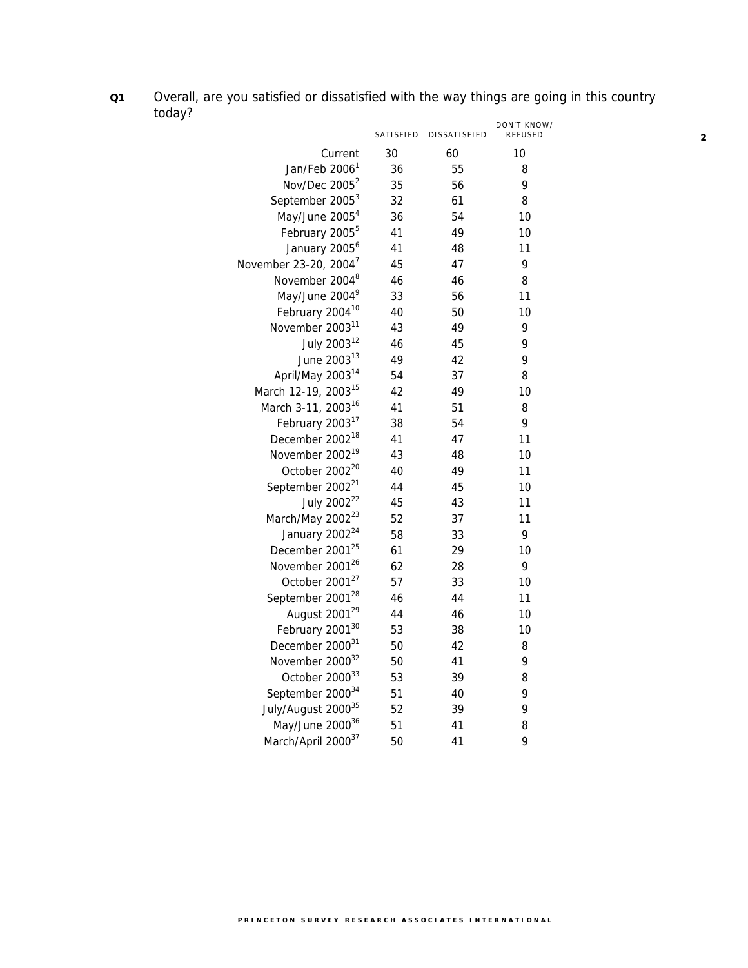**Q1** Overall, are you satisfied or dissatisfied with the way things are going in this country today?

<u>in a</u>

|                                   | SATISFIED | DISSATISFIED | DON'T KNOW/<br>REFUSED |
|-----------------------------------|-----------|--------------|------------------------|
| Current                           | 30        | 60           | 10                     |
| Jan/Feb 2006 <sup>1</sup>         | 36        | 55           | 8                      |
| Nov/Dec 2005 <sup>2</sup>         | 35        | 56           | 9                      |
| September 2005 <sup>3</sup>       | 32        | 61           | 8                      |
| May/June 2005 <sup>4</sup>        | 36        | 54           | 10                     |
| February 2005 <sup>5</sup>        | 41        | 49           | 10                     |
| January 2005 <sup>6</sup>         | 41        | 48           | 11                     |
| November 23-20, 2004 <sup>7</sup> | 45        | 47           | 9                      |
| November 2004 <sup>8</sup>        | 46        | 46           | 8                      |
| May/June 2004 <sup>9</sup>        | 33        | 56           | 11                     |
| February 2004 <sup>10</sup>       | 40        | 50           | 10                     |
| November 2003 <sup>11</sup>       | 43        | 49           | 9                      |
| July 2003 <sup>12</sup>           | 46        | 45           | 9                      |
| June 2003 <sup>13</sup>           | 49        | 42           | 9                      |
| April/May 2003 <sup>14</sup>      | 54        | 37           | 8                      |
| March 12-19, 2003 <sup>15</sup>   | 42        | 49           | 10                     |
| March 3-11, 2003 <sup>16</sup>    | 41        | 51           | 8                      |
| February 2003 <sup>17</sup>       | 38        | 54           | 9                      |
| December 2002 <sup>18</sup>       | 41        | 47           | 11                     |
| November 2002 <sup>19</sup>       | 43        | 48           | 10                     |
| October 2002 <sup>20</sup>        | 40        | 49           | 11                     |
| September 2002 <sup>21</sup>      | 44        | 45           | 10                     |
| July 2002 <sup>22</sup>           | 45        | 43           | 11                     |
| March/May 2002 <sup>23</sup>      | 52        | 37           | 11                     |
| January 2002 <sup>24</sup>        | 58        | 33           | 9                      |
| December 2001 <sup>25</sup>       | 61        | 29           | 10                     |
| November 2001 <sup>26</sup>       | 62        | 28           | 9                      |
| October 2001 <sup>27</sup>        | 57        | 33           | 10                     |
| September 2001 <sup>28</sup>      | 46        | 44           | 11                     |
| August 2001 <sup>29</sup>         | 44        | 46           | 10                     |
| February 2001 <sup>30</sup>       | 53        | 38           | 10                     |
| December 2000 <sup>31</sup>       | 50        | 42           | 8                      |
| November 2000 <sup>32</sup>       | 50        | 41           | 9                      |
| October 2000 <sup>33</sup>        | 53        | 39           | 8                      |
| September 2000 <sup>34</sup>      | 51        | 40           | 9                      |
| July/August 2000 <sup>35</sup>    | 52        | 39           | 9                      |
| May/June 200036                   | 51        | 41           | 8                      |
| March/April 200037                | 50        | 41           | 9                      |

**2**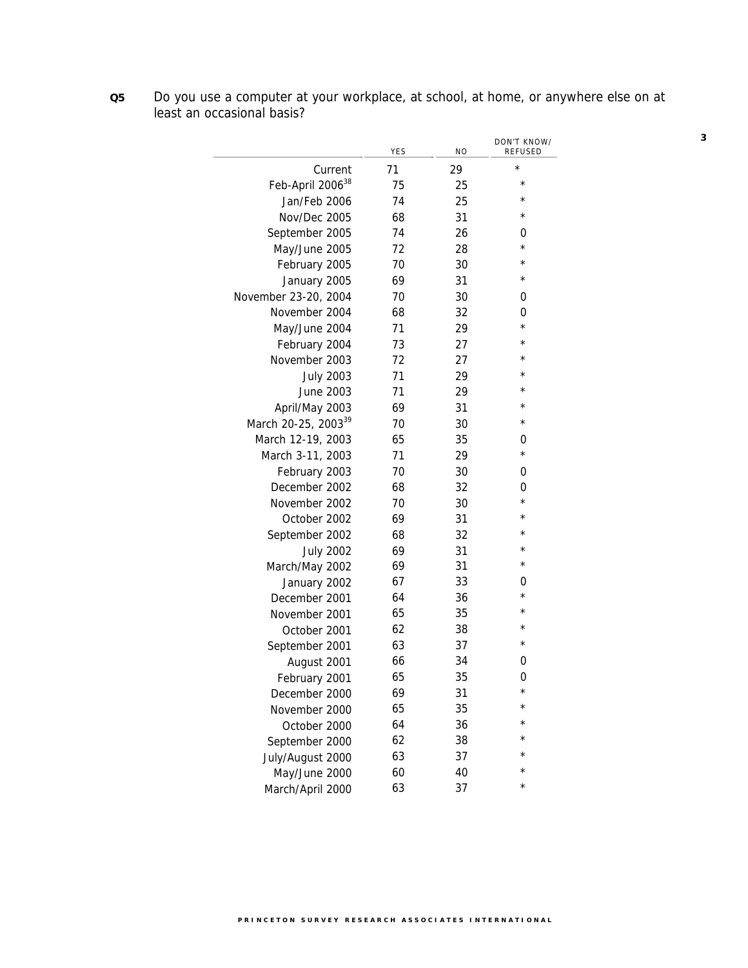|                                 | YES | <b>NO</b> | DON'T KNOW/<br><b>REFUSED</b> |
|---------------------------------|-----|-----------|-------------------------------|
| Current                         | 71  | 29        | $^{\star}$                    |
| Feb-April 2006 <sup>38</sup>    | 75  | 25        | $^\star$                      |
| Jan/Feb 2006                    | 74  | 25        | $\star$                       |
| Nov/Dec 2005                    | 68  | 31        | $\star$                       |
| September 2005                  | 74  | 26        | 0                             |
| May/June 2005                   | 72  | 28        | $\star$                       |
| February 2005                   | 70  | 30        | $^\star$                      |
| January 2005                    | 69  | 31        | $^\star$                      |
| November 23-20, 2004            | 70  | 30        | 0                             |
| November 2004                   | 68  | 32        | 0                             |
| May/June 2004                   | 71  | 29        | $^\star$                      |
| February 2004                   | 73  | 27        | $^\star$                      |
| November 2003                   | 72  | 27        | $\star$                       |
| <b>July 2003</b>                | 71  | 29        | $\star$                       |
| June 2003                       | 71  | 29        | $\star$                       |
| April/May 2003                  | 69  | 31        | $\star$                       |
| March 20-25, 2003 <sup>39</sup> | 70  | 30        | $^\star$                      |
| March 12-19, 2003               | 65  | 35        | 0                             |
| March 3-11, 2003                | 71  | 29        | $^\star$                      |
| February 2003                   | 70  | 30        | 0                             |
| December 2002                   | 68  | 32        | 0                             |
| November 2002                   | 70  | 30        | $^\star$                      |
| October 2002                    | 69  | 31        | $^\star$                      |
| September 2002                  | 68  | 32        | $^\star$                      |
| <b>July 2002</b>                | 69  | 31        | $\star$                       |
| March/May 2002                  | 69  | 31        | $^{\star}$                    |
| January 2002                    | 67  | 33        | 0                             |
| December 2001                   | 64  | 36        | $^\star$<br>$\star$           |
| November 2001                   | 65  | 35        |                               |
| October 2001                    | 62  | 38        | $^\star$                      |
| September 2001                  | 63  | 37        | $^\star$                      |
| August 2001                     | 66  | 34        | 0                             |
| February 2001                   | 65  | 35        | 0<br>$^\star$                 |
| December 2000                   | 69  | 31        |                               |
| November 2000                   | 65  | 35        |                               |
| October 2000                    | 64  | 36        |                               |
| September 2000                  | 62  | 38        |                               |
| July/August 2000                | 63  | 37        |                               |
| May/June 2000                   | 60  | 40        | $^{\star}$                    |
| March/April 2000                | 63  | 37        |                               |

**Q5** Do you use a computer at your workplace, at school, at home, or anywhere else on at least an occasional basis?

**3**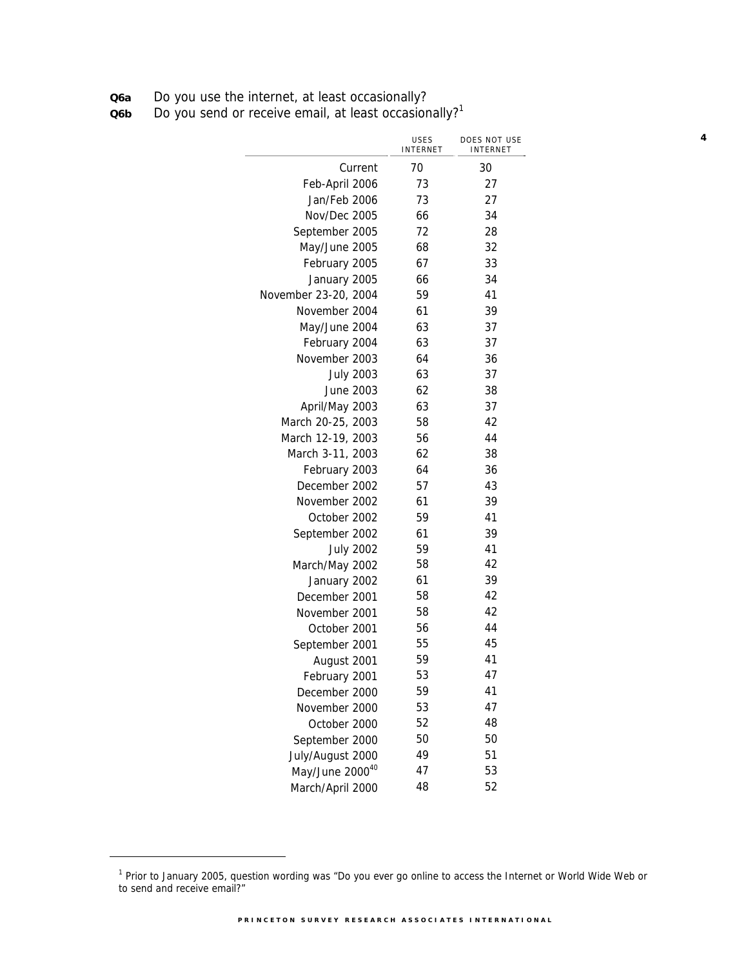**Q6a** Do you use the internet, at least occasionally?

**Q6b** Do you send or receive email, at least occasionally?<sup>1</sup>

|                      | <b>USES</b><br>INTERNET | DOES NOT USE<br>INTERNET |
|----------------------|-------------------------|--------------------------|
| Current              | 70                      | 30                       |
| Feb-April 2006       | 73                      | 27                       |
| Jan/Feb 2006         | 73                      | 27                       |
| Nov/Dec 2005         | 66                      | 34                       |
| September 2005       | 72                      | 28                       |
| May/June 2005        | 68                      | 32                       |
| February 2005        | 67                      | 33                       |
| January 2005         | 66                      | 34                       |
| November 23-20, 2004 | 59                      | 41                       |
| November 2004        | 61                      | 39                       |
| May/June 2004        | 63                      | 37                       |
| February 2004        | 63                      | 37                       |
| November 2003        | 64                      | 36                       |
| <b>July 2003</b>     | 63                      | 37                       |
| June 2003            | 62                      | 38                       |
| April/May 2003       | 63                      | 37                       |
| March 20-25, 2003    | 58                      | 42                       |
| March 12-19, 2003    | 56                      | 44                       |
| March 3-11, 2003     | 62                      | 38                       |
| February 2003        | 64                      | 36                       |
| December 2002        | 57                      | 43                       |
| November 2002        | 61                      | 39                       |
| October 2002         | 59                      | 41                       |
| September 2002       | 61                      | 39                       |
| <b>July 2002</b>     | 59                      | 41                       |
| March/May 2002       | 58                      | 42                       |
| January 2002         | 61                      | 39                       |
| December 2001        | 58                      | 42                       |
| November 2001        | 58                      | 42                       |
| October 2001         | 56                      | 44                       |
| September 2001       | 55                      | 45                       |
| August 2001          | 59                      | 41                       |
| February 2001        | 53                      | 47                       |
| December 2000        | 59                      | 41                       |
| November 2000        | 53                      | 47                       |
| October 2000         | 52                      | 48                       |
| September 2000       | 50                      | 50                       |
| July/August 2000     | 49                      | 51                       |
| May/June 200040      | 47                      | 53                       |
| March/April 2000     | 48                      | 52                       |

**4**

<sup>&</sup>lt;sup>1</sup> Prior to January 2005, question wording was "Do you ever go online to access the Internet or World Wide Web or to send and receive email?"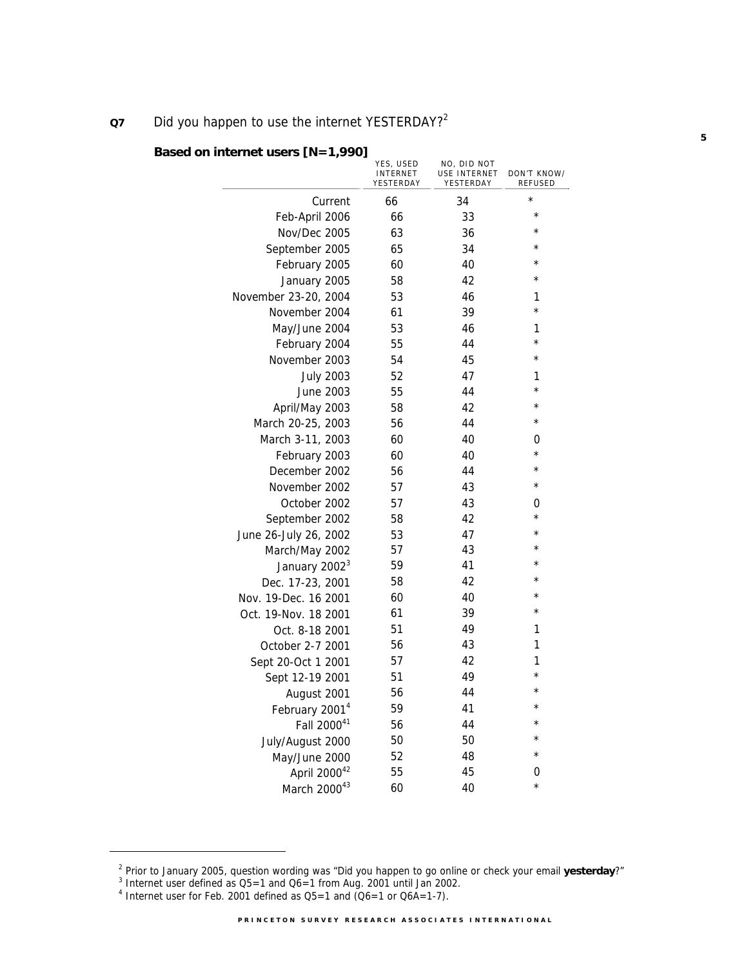### **Q7** Did you happen to use the internet YESTERDAY?<sup>2</sup>

|                            | YES, USED<br><b>INTERNET</b><br>YESTERDAY | NO, DID NOT<br>USE INTERNET<br>YESTERDAY | DON'T KNOW/<br><b>REFUSED</b> |
|----------------------------|-------------------------------------------|------------------------------------------|-------------------------------|
| Current                    | 66                                        | 34                                       | $\star$                       |
| Feb-April 2006             | 66                                        | 33                                       | $^{\star}$                    |
| Nov/Dec 2005               | 63                                        | 36                                       | $^\star$                      |
| September 2005             | 65                                        | 34                                       | $\star$                       |
| February 2005              | 60                                        | 40                                       | $\star$                       |
| January 2005               | 58                                        | 42                                       | $^\star$                      |
| November 23-20, 2004       | 53                                        | 46                                       | 1                             |
| November 2004              | 61                                        | 39                                       | $\star$                       |
| May/June 2004              | 53                                        | 46                                       | 1                             |
| February 2004              | 55                                        | 44                                       | $\star$                       |
| November 2003              | 54                                        | 45                                       | $^{\star}$                    |
| <b>July 2003</b>           | 52                                        | 47                                       | 1                             |
| June 2003                  | 55                                        | 44                                       | $\star$                       |
| April/May 2003             | 58                                        | 42                                       | $^\star$                      |
| March 20-25, 2003          | 56                                        | 44                                       | $\star$                       |
| March 3-11, 2003           | 60                                        | 40                                       | 0                             |
| February 2003              | 60                                        | 40                                       | $\star$                       |
| December 2002              | 56                                        | 44                                       | $\star$                       |
| November 2002              | 57                                        | 43                                       | $^\star$                      |
| October 2002               | 57                                        | 43                                       | 0                             |
| September 2002             | 58                                        | 42                                       | $^\star$                      |
| June 26-July 26, 2002      | 53                                        | 47                                       | $\star$                       |
| March/May 2002             | 57                                        | 43                                       | $\star$                       |
| January 2002 <sup>3</sup>  | 59                                        | 41                                       | $\star$                       |
| Dec. 17-23, 2001           | 58                                        | 42                                       | $\star$                       |
| Nov. 19-Dec. 16 2001       | 60                                        | 40                                       | $\star$                       |
| Oct. 19-Nov. 18 2001       | 61                                        | 39                                       | $\star$                       |
| Oct. 8-18 2001             | 51                                        | 49                                       | 1                             |
| October 2-7 2001           | 56                                        | 43                                       | 1                             |
| Sept 20-Oct 1 2001         | 57                                        | 42                                       | 1                             |
| Sept 12-19 2001            | 51                                        | 49                                       | $\star$                       |
| August 2001                | 56                                        | 44                                       | $\star$<br>$\star$            |
| February 2001 <sup>4</sup> | 59                                        | 41                                       |                               |
| Fall 200041                | 56                                        | 44                                       | $\star$                       |
| July/August 2000           | 50                                        | 50                                       | $\star$                       |
| May/June 2000              | 52                                        | 48                                       | $\star$                       |
| April 200042               | 55                                        | 45                                       | 0                             |
| March 200043               | 60                                        | 40                                       | $\star$                       |

### **Based on internet users [N=1,990]**

j

<sup>&</sup>lt;sup>2</sup> Prior to January 2005, question wording was "Did you happen to go online or check your email **yesterday**?"<br><sup>3</sup> Internet user defined as OE, 1 and O4, 1 from Aug. 2001 until Jan 2002.

 $^{\text{3}}$  Internet user defined as Q5=1 and Q6=1 from Aug. 2001 until Jan 2002.<br><sup>4</sup> Internet user for Feb. 2001 defined as Q5=1 and (Q6=1 or Q6A=1-7).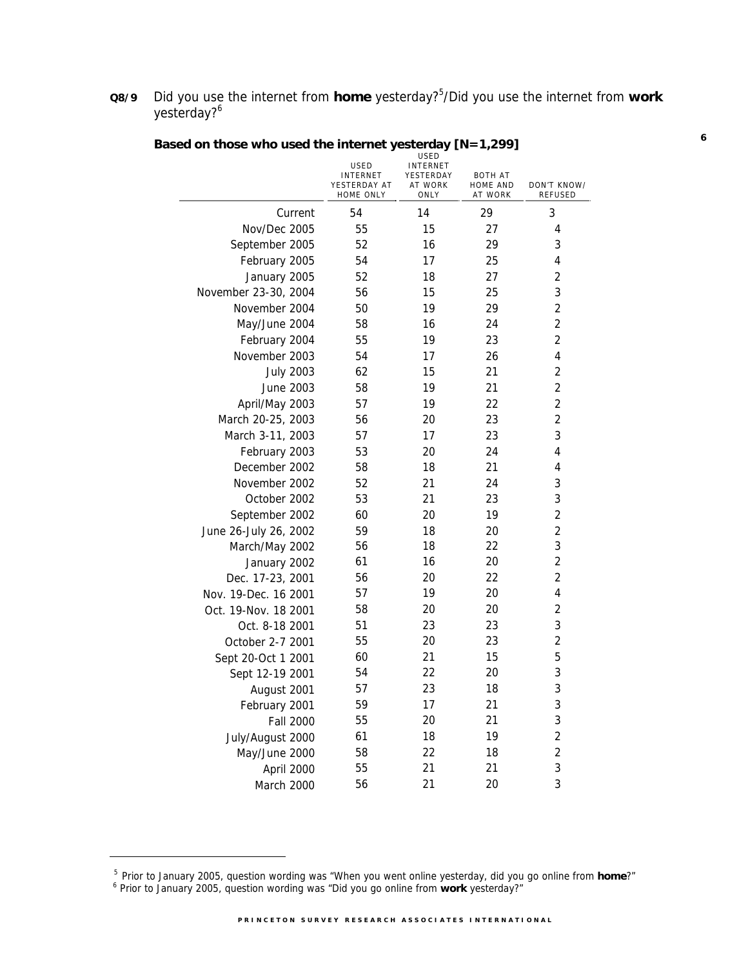**Q8/9** Did you use the internet from **home** yesterday?<sup>5</sup>/Did you use the internet from work yesterday?<sup>6</sup>

|                       | <b>INTERNET</b><br>YESTERDAY AT<br>HOME ONLY | YESTERDAY<br>AT WORK<br>ONLY | <b>BOTH AT</b><br><b>HOME AND</b><br>AT WORK | DON'T KNOW/<br><b>REFUSED</b> |
|-----------------------|----------------------------------------------|------------------------------|----------------------------------------------|-------------------------------|
| Current               | 54                                           | 14                           | 29                                           | 3                             |
| Nov/Dec 2005          | 55                                           | 15                           | 27                                           | 4                             |
| September 2005        | 52                                           | 16                           | 29                                           | 3                             |
| February 2005         | 54                                           | 17                           | 25                                           | 4                             |
| January 2005          | 52                                           | 18                           | 27                                           | $\overline{2}$                |
| November 23-30, 2004  | 56                                           | 15                           | 25                                           | 3                             |
| November 2004         | 50                                           | 19                           | 29                                           | $\overline{2}$                |
| May/June 2004         | 58                                           | 16                           | 24                                           | $\overline{2}$                |
| February 2004         | 55                                           | 19                           | 23                                           | $\overline{2}$                |
| November 2003         | 54                                           | 17                           | 26                                           | 4                             |
| <b>July 2003</b>      | 62                                           | 15                           | 21                                           | $\overline{2}$                |
| June 2003             | 58                                           | 19                           | 21                                           | 2                             |
| April/May 2003        | 57                                           | 19                           | 22                                           | $\overline{2}$                |
| March 20-25, 2003     | 56                                           | 20                           | 23                                           | $\overline{2}$                |
| March 3-11, 2003      | 57                                           | 17                           | 23                                           | 3                             |
| February 2003         | 53                                           | 20                           | 24                                           | 4                             |
| December 2002         | 58                                           | 18                           | 21                                           | 4                             |
| November 2002         | 52                                           | 21                           | 24                                           | 3                             |
| October 2002          | 53                                           | 21                           | 23                                           | 3                             |
| September 2002        | 60                                           | 20                           | 19                                           | $\overline{2}$                |
| June 26-July 26, 2002 | 59                                           | 18                           | 20                                           | $\overline{2}$                |
| March/May 2002        | 56                                           | 18                           | 22                                           | 3                             |
| January 2002          | 61                                           | 16                           | 20                                           | $\overline{2}$                |
| Dec. 17-23, 2001      | 56                                           | 20                           | 22                                           | $\overline{2}$                |
| Nov. 19-Dec. 16 2001  | 57                                           | 19                           | 20                                           | 4                             |
| Oct. 19-Nov. 18 2001  | 58                                           | 20                           | 20                                           | 2                             |
| Oct. 8-18 2001        | 51                                           | 23                           | 23                                           | 3                             |
| October 2-7 2001      | 55                                           | 20                           | 23                                           | 2                             |
| Sept 20-Oct 1 2001    | 60                                           | 21                           | 15                                           | 5                             |
| Sept 12-19 2001       | 54                                           | 22                           | 20                                           | 3                             |
| August 2001           | 57                                           | 23                           | 18                                           | 3                             |
| February 2001         | 59                                           | 17                           | 21                                           | 3                             |
| <b>Fall 2000</b>      | 55                                           | 20                           | 21                                           | 3                             |
| July/August 2000      | 61                                           | 18                           | 19                                           | $\overline{\mathbf{c}}$       |
| May/June 2000         | 58                                           | 22                           | 18                                           | $\overline{c}$                |
| April 2000            | 55                                           | 21                           | 21                                           | 3                             |
| March 2000            | 56                                           | 21                           | 20                                           | 3                             |

# **Based on those who used the internet yesterday [N=1,299]**

<sup>&</sup>lt;sup>5</sup> Prior to January 2005, question wording was "When you went online yesterday, did you go online from **home**?"<br><sup>6</sup> Prior to January 2005, question wording was "Did you go online from **work** yesterday?"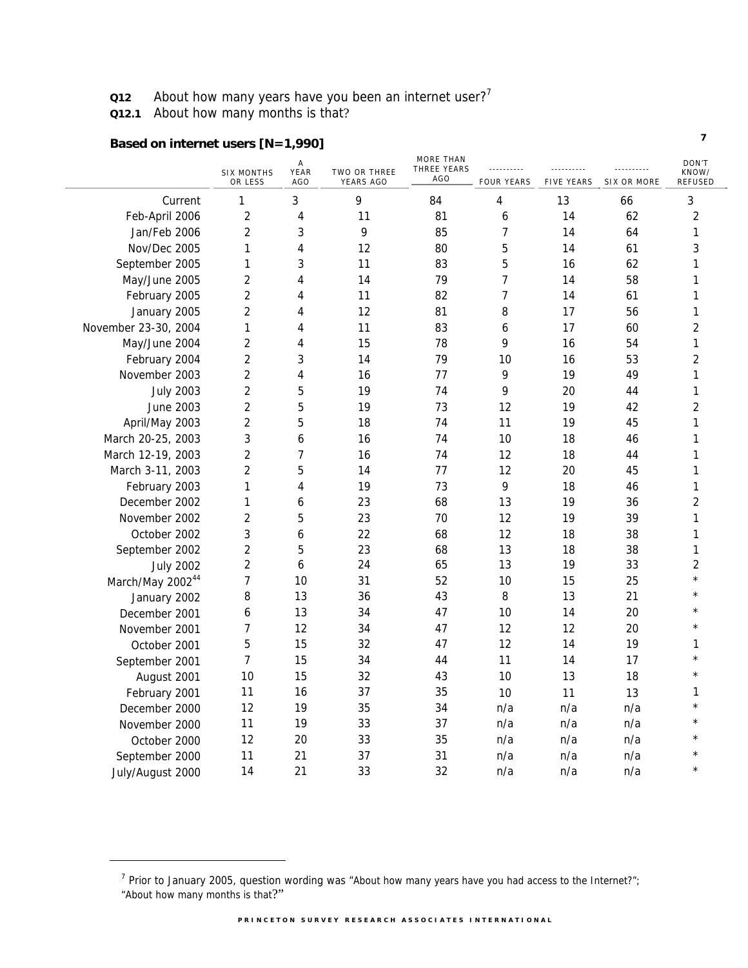**Q12** About how many years have you been an internet user?<sup>7</sup>

**Q12.1** About how many months is that?

# **Based on internet users [N=1,990]**

|                              | <b>SIX MONTHS</b><br>OR LESS | А<br>YEAR<br><b>AGO</b> | TWO OR THREE<br>YEARS AGO | <b>MORE THAN</b><br>THREE YEARS<br><b>AGO</b> | <u></u> .<br><b>FOUR YEARS</b> | <b>FIVE YEARS</b> | <u></u><br><b>SIX OR MORE</b> | DON'T<br>KNOW/<br>REFUSED |
|------------------------------|------------------------------|-------------------------|---------------------------|-----------------------------------------------|--------------------------------|-------------------|-------------------------------|---------------------------|
| Current                      | 1                            | 3                       | 9                         | 84                                            | 4                              | 13                | 66                            | 3                         |
| Feb-April 2006               | $\overline{2}$               | 4                       | 11                        | 81                                            | 6                              | 14                | 62                            | 2                         |
| Jan/Feb 2006                 | $\sqrt{2}$                   | 3                       | 9                         | 85                                            | 7                              | 14                | 64                            | 1                         |
| Nov/Dec 2005                 | 1                            | 4                       | 12                        | 80                                            | 5                              | 14                | 61                            | 3                         |
| September 2005               | 1                            | 3                       | 11                        | 83                                            | 5                              | 16                | 62                            | 1                         |
| May/June 2005                | $\overline{c}$               | 4                       | 14                        | 79                                            | $\overline{7}$                 | 14                | 58                            | 1                         |
| February 2005                | $\overline{2}$               | 4                       | 11                        | 82                                            | 7                              | 14                | 61                            | 1                         |
| January 2005                 | $\overline{2}$               | 4                       | 12                        | 81                                            | 8                              | 17                | 56                            | 1                         |
| November 23-30, 2004         | 1                            | 4                       | 11                        | 83                                            | 6                              | 17                | 60                            | $\overline{2}$            |
| May/June 2004                | $\overline{2}$               | 4                       | 15                        | 78                                            | 9                              | 16                | 54                            | 1                         |
| February 2004                | $\overline{2}$               | 3                       | 14                        | 79                                            | 10                             | 16                | 53                            | $\sqrt{2}$                |
| November 2003                | $\overline{2}$               | 4                       | 16                        | 77                                            | 9                              | 19                | 49                            | 1                         |
| <b>July 2003</b>             | $\overline{2}$               | 5                       | 19                        | 74                                            | 9                              | 20                | 44                            | 1                         |
| <b>June 2003</b>             | $\overline{2}$               | 5                       | 19                        | 73                                            | 12                             | 19                | 42                            | $\overline{2}$            |
| April/May 2003               | $\overline{2}$               | 5                       | 18                        | 74                                            | 11                             | 19                | 45                            | 1                         |
| March 20-25, 2003            | 3                            | 6                       | 16                        | 74                                            | 10                             | 18                | 46                            | 1                         |
| March 12-19, 2003            | $\overline{2}$               | 7                       | 16                        | 74                                            | 12                             | 18                | 44                            | 1                         |
| March 3-11, 2003             | $\overline{2}$               | 5                       | 14                        | 77                                            | 12                             | 20                | 45                            | 1                         |
| February 2003                | 1                            | 4                       | 19                        | 73                                            | 9                              | 18                | 46                            | 1                         |
| December 2002                | 1                            | 6                       | 23                        | 68                                            | 13                             | 19                | 36                            | 2                         |
| November 2002                | $\overline{c}$               | 5                       | 23                        | 70                                            | 12                             | 19                | 39                            | 1                         |
| October 2002                 | 3                            | 6                       | 22                        | 68                                            | 12                             | 18                | 38                            | $\mathbf{1}$              |
| September 2002               | 2                            | 5                       | 23                        | 68                                            | 13                             | 18                | 38                            | 1                         |
| <b>July 2002</b>             | 2                            | 6                       | 24                        | 65                                            | 13                             | 19                | 33                            | $\overline{2}$            |
| March/May 2002 <sup>44</sup> | 7                            | 10                      | 31                        | 52                                            | 10                             | 15                | 25                            | $\star$                   |
| January 2002                 | 8                            | 13                      | 36                        | 43                                            | 8                              | 13                | 21                            | $^{\star}$                |
| December 2001                | 6                            | 13                      | 34                        | 47                                            | 10                             | 14                | 20                            | $\star$                   |
| November 2001                | 7                            | 12                      | 34                        | 47                                            | 12                             | 12                | 20                            | $\star$                   |
| October 2001                 | 5                            | 15                      | 32                        | 47                                            | 12                             | 14                | 19                            | 1                         |
| September 2001               | $\overline{7}$               | 15                      | 34                        | 44                                            | 11                             | 14                | 17                            | $\star$                   |
| August 2001                  | 10                           | 15                      | 32                        | 43                                            | 10                             | 13                | 18                            |                           |
| February 2001                | 11                           | 16                      | 37                        | 35                                            | 10                             | 11                | 13                            | 1                         |
| December 2000                | 12                           | 19                      | 35                        | 34                                            | n/a                            | n/a               | n/a                           | $\star$                   |
| November 2000                | 11                           | 19                      | 33                        | 37                                            | n/a                            | n/a               | n/a                           | $^{\star}$                |
| October 2000                 | 12                           | 20                      | 33                        | 35                                            | n/a                            | n/a               | n/a                           | $\star$                   |
| September 2000               | 11                           | 21                      | 37                        | 31                                            | n/a                            | n/a               | n/a                           |                           |
| July/August 2000             | 14                           | 21                      | 33                        | 32                                            | n/a                            | n/a               | n/a                           | $\star$                   |

<sup>&</sup>lt;sup>7</sup> Prior to January 2005, question wording was "About how many years have you had access to the Internet?"; "About how many months is that?"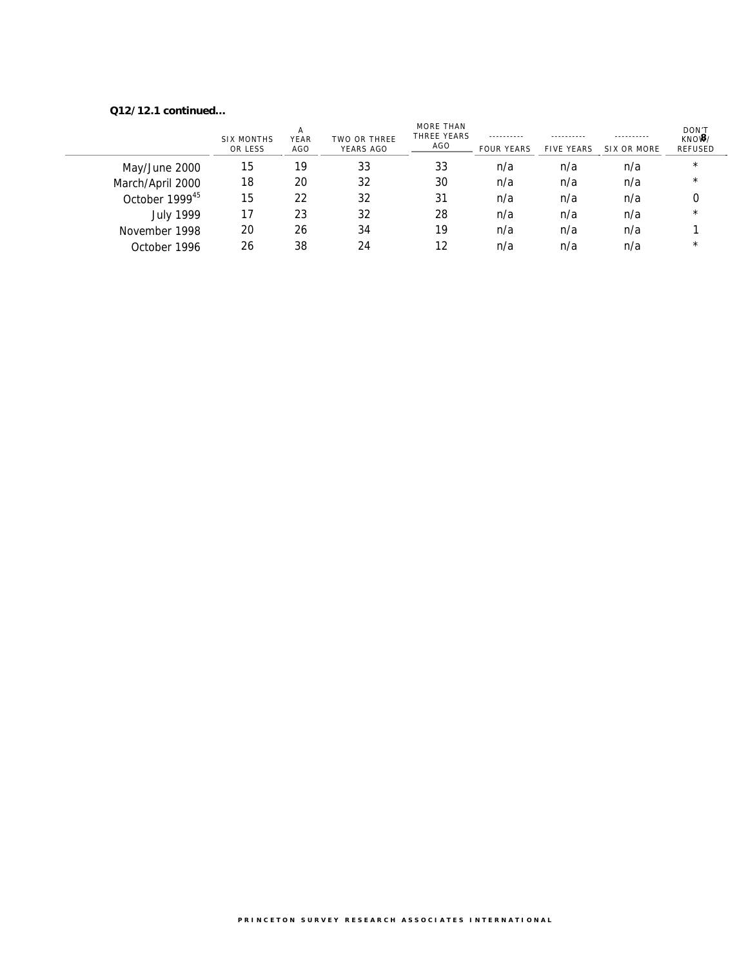#### **Q12/12.1 continued…**

|                            | SIX MONTHS<br>OR LESS | А<br>YEAR<br>AGO | TWO OR THREE<br>YEARS AGO | MORE THAN<br>THREE YEARS<br>AGO | ----------<br><b>FOUR YEARS</b> | <b>FIVE YEARS</b> | ----------<br>SIX OR MORE | DON'T<br>$KNO$ $\frac{3}{2}$ /<br><b>REFUSED</b> |
|----------------------------|-----------------------|------------------|---------------------------|---------------------------------|---------------------------------|-------------------|---------------------------|--------------------------------------------------|
| May/June 2000              | 15                    | 19               | 33                        | 33                              | n/a                             | n/a               | n/a                       | $\star$                                          |
| March/April 2000           | 18                    | 20               | 32                        | 30                              | n/a                             | n/a               | n/a                       | $\star$                                          |
| October 1999 <sup>45</sup> | 15                    | 22               | 32                        | 31                              | n/a                             | n/a               | n/a                       |                                                  |
| <b>July 1999</b>           | 17                    | 23               | 32                        | 28                              | n/a                             | n/a               | n/a                       | $\star$                                          |
| November 1998              | 20                    | 26               | 34                        | 19                              | n/a                             | n/a               | n/a                       |                                                  |
| October 1996               | 26                    | 38               | 24                        | 12                              | n/a                             | n/a               | n/a                       | $\star$                                          |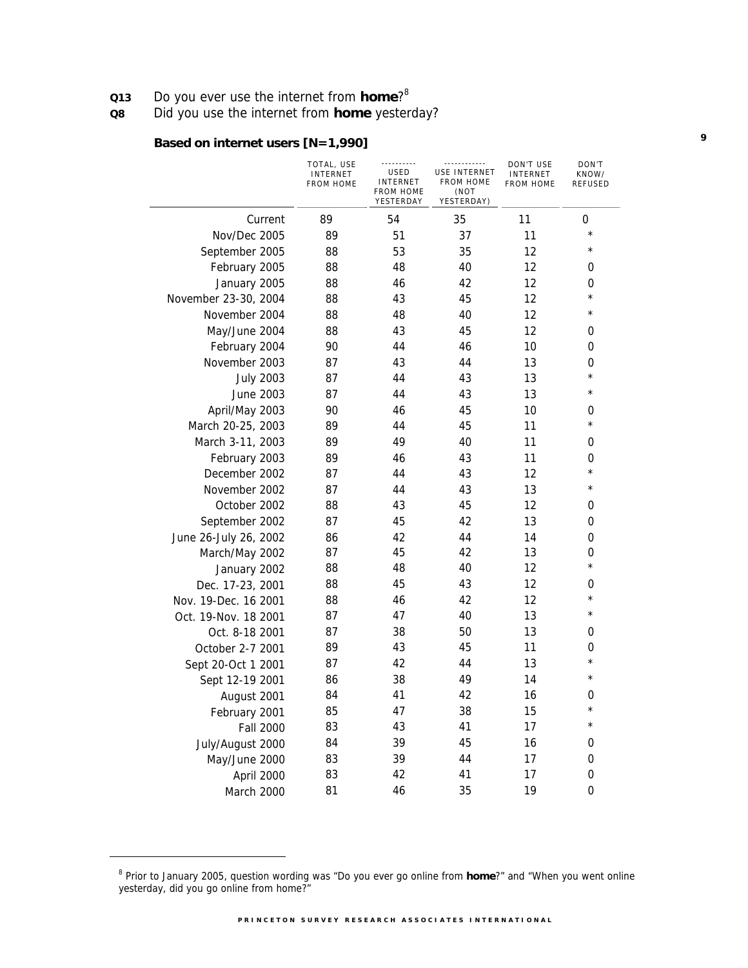**Q13** Do you ever use the internet from **home**?<sup>8</sup>

**Q8** Did you use the internet from **home** yesterday?

### **Based on internet users [N=1,990]**

|                       | TOTAL, USE<br><b>INTERNET</b><br><b>FROM HOME</b> | USED<br><b>INTERNET</b><br><b>FROM HOME</b><br>YESTERDAY | <u>------------</u><br>USE INTERNET<br><b>FROM HOME</b><br>(NOT<br>YESTERDAY) | DON'T USE<br><b>INTERNET</b><br><b>FROM HOME</b> | DON'T<br>KNOW/<br><b>REFUSED</b> |
|-----------------------|---------------------------------------------------|----------------------------------------------------------|-------------------------------------------------------------------------------|--------------------------------------------------|----------------------------------|
| Current               | 89                                                | 54                                                       | 35                                                                            | 11                                               | 0                                |
| Nov/Dec 2005          | 89                                                | 51                                                       | 37                                                                            | 11                                               | $^{\star}$                       |
| September 2005        | 88                                                | 53                                                       | 35                                                                            | 12                                               | $^\star$                         |
| February 2005         | 88                                                | 48                                                       | 40                                                                            | 12                                               | 0                                |
| January 2005          | 88                                                | 46                                                       | 42                                                                            | 12                                               | 0                                |
| November 23-30, 2004  | 88                                                | 43                                                       | 45                                                                            | 12                                               | $\star$                          |
| November 2004         | 88                                                | 48                                                       | 40                                                                            | 12                                               | $^\star$                         |
| May/June 2004         | 88                                                | 43                                                       | 45                                                                            | 12                                               | 0                                |
| February 2004         | 90                                                | 44                                                       | 46                                                                            | 10                                               | 0                                |
| November 2003         | 87                                                | 43                                                       | 44                                                                            | 13                                               | 0                                |
| <b>July 2003</b>      | 87                                                | 44                                                       | 43                                                                            | 13                                               | $^\star$                         |
| June 2003             | 87                                                | 44                                                       | 43                                                                            | 13                                               | $^\star$                         |
| April/May 2003        | 90                                                | 46                                                       | 45                                                                            | 10                                               | 0                                |
| March 20-25, 2003     | 89                                                | 44                                                       | 45                                                                            | 11                                               | $^\star$                         |
| March 3-11, 2003      | 89                                                | 49                                                       | 40                                                                            | 11                                               | 0                                |
| February 2003         | 89                                                | 46                                                       | 43                                                                            | 11                                               | 0                                |
| December 2002         | 87                                                | 44                                                       | 43                                                                            | 12                                               | $\star$                          |
| November 2002         | 87                                                | 44                                                       | 43                                                                            | 13                                               | $^\star$                         |
| October 2002          | 88                                                | 43                                                       | 45                                                                            | 12                                               | 0                                |
| September 2002        | 87                                                | 45                                                       | 42                                                                            | 13                                               | 0                                |
| June 26-July 26, 2002 | 86                                                | 42                                                       | 44                                                                            | 14                                               | 0                                |
| March/May 2002        | 87                                                | 45                                                       | 42                                                                            | 13                                               | 0                                |
| January 2002          | 88                                                | 48                                                       | 40                                                                            | 12                                               | $\star$                          |
| Dec. 17-23, 2001      | 88                                                | 45                                                       | 43                                                                            | 12                                               | 0                                |
| Nov. 19-Dec. 16 2001  | 88                                                | 46                                                       | 42                                                                            | 12                                               | $\star$                          |
| Oct. 19-Nov. 18 2001  | 87                                                | 47                                                       | 40                                                                            | 13                                               | $^\star$                         |
| Oct. 8-18 2001        | 87                                                | 38                                                       | 50                                                                            | 13                                               | 0                                |
| October 2-7 2001      | 89                                                | 43                                                       | 45                                                                            | 11                                               | 0                                |
| Sept 20-Oct 1 2001    | 87                                                | 42                                                       | 44                                                                            | 13                                               | $^\star$                         |
| Sept 12-19 2001       | 86                                                | 38                                                       | 49                                                                            | 14                                               | $\star$                          |
| August 2001           | 84                                                | 41                                                       | 42                                                                            | 16                                               | 0                                |
| February 2001         | 85                                                | 47                                                       | 38                                                                            | 15                                               | $^\star$                         |
| <b>Fall 2000</b>      | 83                                                | 43                                                       | 41                                                                            | 17                                               | $^{\star}$                       |
| July/August 2000      | 84                                                | 39                                                       | 45                                                                            | 16                                               | 0                                |
| May/June 2000         | 83                                                | 39                                                       | 44                                                                            | 17                                               | 0                                |
| April 2000            | 83                                                | 42                                                       | 41                                                                            | 17                                               | 0                                |
| March 2000            | 81                                                | 46                                                       | 35                                                                            | 19                                               | 0                                |

**9**

<sup>8</sup> Prior to January 2005, question wording was "Do you ever go online from **home**?" and "When you went online yesterday, did you go online from home?"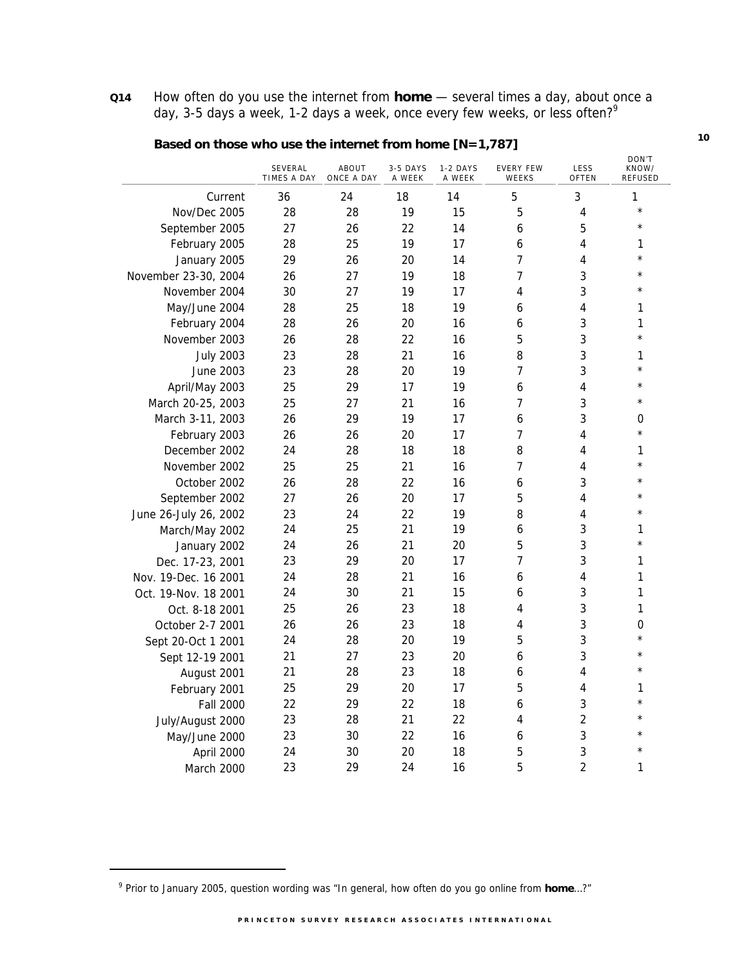**Q14** How often do you use the internet from **home** — several times a day, about once a day, 3-5 days a week, 1-2 days a week, once every few weeks, or less often?<sup>9</sup>

|                       |                        |                     |                    |                    |                           |                | DON'T                   |
|-----------------------|------------------------|---------------------|--------------------|--------------------|---------------------------|----------------|-------------------------|
|                       | SEVERAL<br>TIMES A DAY | ABOUT<br>ONCE A DAY | 3-5 DAYS<br>A WEEK | 1-2 DAYS<br>A WEEK | <b>EVERY FEW</b><br>WEEKS | LESS<br>OFTEN  | KNOW/<br><b>REFUSED</b> |
| Current               | 36                     | 24                  | 18                 | 14                 | 5                         | 3              | 1                       |
| Nov/Dec 2005          | 28                     | 28                  | 19                 | 15                 | 5                         | 4              | $^\star$                |
| September 2005        | 27                     | 26                  | 22                 | 14                 | 6                         | 5              | $\star$                 |
| February 2005         | 28                     | 25                  | 19                 | 17                 | 6                         | 4              | 1                       |
| January 2005          | 29                     | 26                  | 20                 | 14                 | 7                         | 4              | *                       |
| November 23-30, 2004  | 26                     | 27                  | 19                 | 18                 | 7                         | 3              | $\star$                 |
| November 2004         | 30                     | 27                  | 19                 | 17                 | 4                         | 3              | $\star$                 |
| May/June 2004         | 28                     | 25                  | 18                 | 19                 | 6                         | 4              | 1                       |
| February 2004         | 28                     | 26                  | 20                 | 16                 | 6                         | 3              | 1                       |
| November 2003         | 26                     | 28                  | 22                 | 16                 | 5                         | 3              | $^\star$                |
| <b>July 2003</b>      | 23                     | 28                  | 21                 | 16                 | 8                         | 3              | 1                       |
| <b>June 2003</b>      | 23                     | 28                  | 20                 | 19                 | 7                         | 3              | $^\star$                |
| April/May 2003        | 25                     | 29                  | 17                 | 19                 | 6                         | 4              | $^\star$                |
| March 20-25, 2003     | 25                     | 27                  | 21                 | 16                 | 7                         | 3              | $^{\star}$              |
| March 3-11, 2003      | 26                     | 29                  | 19                 | 17                 | 6                         | 3              | 0                       |
| February 2003         | 26                     | 26                  | 20                 | 17                 | 7                         | 4              | $^{\star}$              |
| December 2002         | 24                     | 28                  | 18                 | 18                 | 8                         | 4              | 1                       |
| November 2002         | 25                     | 25                  | 21                 | 16                 | 7                         | 4              | $^\star$                |
| October 2002          | 26                     | 28                  | 22                 | 16                 | 6                         | 3              | $^\star$                |
| September 2002        | 27                     | 26                  | 20                 | 17                 | 5                         | 4              | $^\star$                |
| June 26-July 26, 2002 | 23                     | 24                  | 22                 | 19                 | 8                         | 4              | $^{\star}$              |
| March/May 2002        | 24                     | 25                  | 21                 | 19                 | 6                         | 3              | 1                       |
| January 2002          | 24                     | 26                  | 21                 | 20                 | 5                         | 3              | $\star$                 |
| Dec. 17-23, 2001      | 23                     | 29                  | 20                 | 17                 | 7                         | 3              | 1                       |
| Nov. 19-Dec. 16 2001  | 24                     | 28                  | 21                 | 16                 | 6                         | 4              | 1                       |
| Oct. 19-Nov. 18 2001  | 24                     | 30                  | 21                 | 15                 | 6                         | 3              | 1                       |
| Oct. 8-18 2001        | 25                     | 26                  | 23                 | 18                 | 4                         | 3              | 1                       |
| October 2-7 2001      | 26                     | 26                  | 23                 | 18                 | 4                         | 3              | $\mathbf 0$             |
| Sept 20-Oct 1 2001    | 24                     | 28                  | 20                 | 19                 | 5                         | 3              | $\star$                 |
| Sept 12-19 2001       | 21                     | 27                  | 23                 | 20                 | 6                         | 3              | $^\star$                |
| August 2001           | 21                     | 28                  | 23                 | 18                 | 6                         | 4              | $^{\star}$              |
| February 2001         | 25                     | 29                  | 20                 | 17                 | 5                         | 4              | 1                       |
| <b>Fall 2000</b>      | 22                     | 29                  | 22                 | 18                 | 6                         | 3              | $\star$                 |
| July/August 2000      | 23                     | 28                  | 21                 | 22                 | 4                         | 2              | $\star$                 |
| May/June 2000         | 23                     | 30                  | 22                 | 16                 | 6                         | 3              | $^\star$                |
| April 2000            | 24                     | 30                  | 20                 | 18                 | 5                         | 3              | $^\star$                |
| March 2000            | 23                     | 29                  | 24                 | 16                 | 5                         | $\overline{2}$ | 1                       |

### **Based on those who use the internet from home [N=1,787]**

-

<sup>9</sup> Prior to January 2005, question wording was "In general, how often do you go online from **home**…?"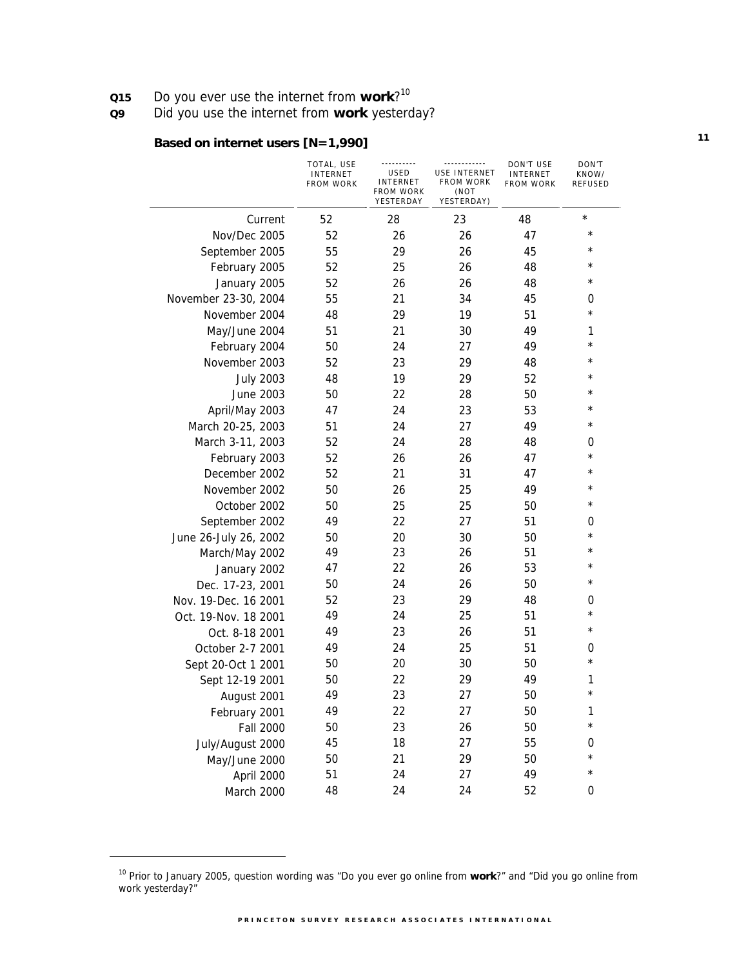**Q15** Do you ever use the internet from **work**?<sup>10</sup>

**Q9** Did you use the internet from **work** yesterday?

# **Based on internet users [N=1,990]**

|                       | TOTAL, USE<br>INTERNET<br><b>FROM WORK</b> | <br>USED<br>INTERNET<br><b>FROM WORK</b><br>YESTERDAY | <br>USE INTERNET<br><b>FROM WORK</b><br>(NOT<br>YESTERDAY) | DON'T USE<br><b>INTERNET</b><br>FROM WORK | DON'T<br>KNOW/<br>REFUSED |
|-----------------------|--------------------------------------------|-------------------------------------------------------|------------------------------------------------------------|-------------------------------------------|---------------------------|
| Current               | 52                                         | 28                                                    | 23                                                         | 48                                        | $\star$                   |
| Nov/Dec 2005          | 52                                         | 26                                                    | 26                                                         | 47                                        | $^\star$                  |
| September 2005        | 55                                         | 29                                                    | 26                                                         | 45                                        | $^\star$                  |
| February 2005         | 52                                         | 25                                                    | 26                                                         | 48                                        | $^\star$                  |
| January 2005          | 52                                         | 26                                                    | 26                                                         | 48                                        | *                         |
| November 23-30, 2004  | 55                                         | 21                                                    | 34                                                         | 45                                        | 0                         |
| November 2004         | 48                                         | 29                                                    | 19                                                         | 51                                        | $\star$                   |
| May/June 2004         | 51                                         | 21                                                    | 30                                                         | 49                                        | 1                         |
| February 2004         | 50                                         | 24                                                    | 27                                                         | 49                                        | $^\star$                  |
| November 2003         | 52                                         | 23                                                    | 29                                                         | 48                                        | $^\star$                  |
| <b>July 2003</b>      | 48                                         | 19                                                    | 29                                                         | 52                                        | $^\star$                  |
| June 2003             | 50                                         | 22                                                    | 28                                                         | 50                                        | $^\star$                  |
| April/May 2003        | 47                                         | 24                                                    | 23                                                         | 53                                        | $^\star$                  |
| March 20-25, 2003     | 51                                         | 24                                                    | 27                                                         | 49                                        | $^\star$                  |
| March 3-11, 2003      | 52                                         | 24                                                    | 28                                                         | 48                                        | 0                         |
| February 2003         | 52                                         | 26                                                    | 26                                                         | 47                                        | $\star$                   |
| December 2002         | 52                                         | 21                                                    | 31                                                         | 47                                        | *                         |
| November 2002         | 50                                         | 26                                                    | 25                                                         | 49                                        | *                         |
| October 2002          | 50                                         | 25                                                    | 25                                                         | 50                                        | $^\star$                  |
| September 2002        | 49                                         | 22                                                    | 27                                                         | 51                                        | 0                         |
| June 26-July 26, 2002 | 50                                         | 20                                                    | 30                                                         | 50                                        | $^\star$                  |
| March/May 2002        | 49                                         | 23                                                    | 26                                                         | 51                                        | $^\star$                  |
| January 2002          | 47                                         | 22                                                    | 26                                                         | 53                                        | $^\star$                  |
| Dec. 17-23, 2001      | 50                                         | 24                                                    | 26                                                         | 50                                        | $^\star$                  |
| Nov. 19-Dec. 16 2001  | 52                                         | 23                                                    | 29                                                         | 48                                        | 0                         |
| Oct. 19-Nov. 18 2001  | 49                                         | 24                                                    | 25                                                         | 51                                        | $^\star$                  |
| Oct. 8-18 2001        | 49                                         | 23                                                    | 26                                                         | 51                                        | $^\star$                  |
| October 2-7 2001      | 49                                         | 24                                                    | 25                                                         | 51                                        | 0                         |
| Sept 20-Oct 1 2001    | 50                                         | 20                                                    | 30                                                         | 50                                        | $^\star$                  |
| Sept 12-19 2001       | 50                                         | 22                                                    | 29                                                         | 49                                        | 1                         |
| August 2001           | 49                                         | 23                                                    | 27                                                         | 50                                        | $^\star$                  |
| February 2001         | 49                                         | 22                                                    | 27                                                         | 50                                        | 1                         |
| <b>Fall 2000</b>      | 50                                         | 23                                                    | 26                                                         | 50                                        | $^\star$                  |
| July/August 2000      | 45                                         | 18                                                    | 27                                                         | 55                                        | 0                         |
| May/June 2000         | 50                                         | 21                                                    | 29                                                         | 50                                        | $^\star$                  |
| April 2000            | 51                                         | 24                                                    | 27                                                         | 49                                        | *                         |
| March 2000            | 48                                         | 24                                                    | 24                                                         | 52                                        | 0                         |

<sup>10</sup> Prior to January 2005, question wording was "Do you ever go online from **work**?" and "Did you go online from work yesterday?"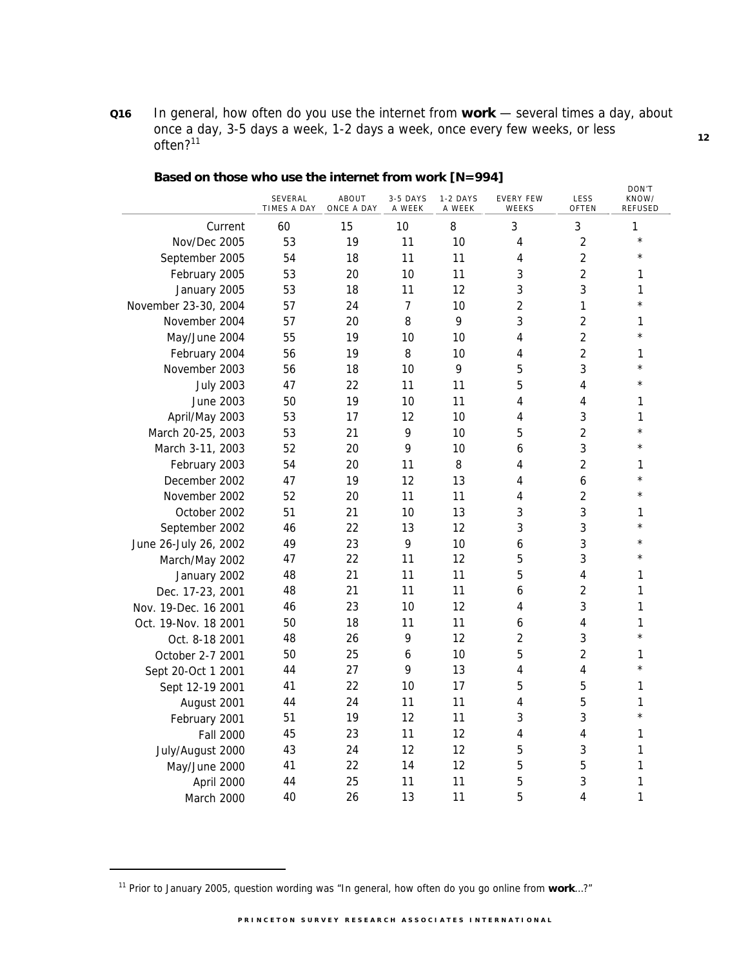**Q16** In general, how often do you use the internet from **work** — several times a day, about once a day, 3-5 days a week, 1-2 days a week, once every few weeks, or less often?<sup>11</sup>

|                       |                        |                     |                    |                    |                           |                | DON'T            |
|-----------------------|------------------------|---------------------|--------------------|--------------------|---------------------------|----------------|------------------|
|                       | SEVERAL<br>TIMES A DAY | ABOUT<br>ONCE A DAY | 3-5 DAYS<br>A WEEK | 1-2 DAYS<br>A WEEK | <b>EVERY FEW</b><br>WEEKS | LESS<br>OFTEN  | KNOW/<br>REFUSED |
| Current               | 60                     | 15                  | 10                 | 8                  | 3                         | 3              | 1                |
| Nov/Dec 2005          | 53                     | 19                  | 11                 | 10                 | 4                         | $\overline{2}$ | $\star$          |
| September 2005        | 54                     | 18                  | 11                 | 11                 | 4                         | $\overline{2}$ | $^{\star}$       |
| February 2005         | 53                     | 20                  | 10                 | 11                 | 3                         | $\overline{2}$ | 1                |
| January 2005          | 53                     | 18                  | 11                 | 12                 | 3                         | 3              | 1                |
| November 23-30, 2004  | 57                     | 24                  | $\overline{7}$     | 10                 | $\overline{2}$            | 1              | $^{\star}$       |
| November 2004         | 57                     | 20                  | 8                  | 9                  | 3                         | $\overline{2}$ | 1                |
| May/June 2004         | 55                     | 19                  | 10                 | 10                 | 4                         | $\overline{2}$ | $\star$          |
| February 2004         | 56                     | 19                  | 8                  | 10                 | 4                         | $\overline{2}$ | 1                |
| November 2003         | 56                     | 18                  | 10                 | 9                  | 5                         | 3              | $\star$          |
| <b>July 2003</b>      | 47                     | 22                  | 11                 | 11                 | 5                         | 4              | $\star$          |
| June 2003             | 50                     | 19                  | 10                 | 11                 | 4                         | 4              | 1                |
| April/May 2003        | 53                     | 17                  | 12                 | 10                 | 4                         | 3              | 1                |
| March 20-25, 2003     | 53                     | 21                  | 9                  | 10                 | 5                         | $\overline{2}$ | $\star$          |
| March 3-11, 2003      | 52                     | 20                  | 9                  | 10                 | 6                         | 3              | $\star$          |
| February 2003         | 54                     | 20                  | 11                 | 8                  | 4                         | $\overline{2}$ | 1                |
| December 2002         | 47                     | 19                  | 12                 | 13                 | 4                         | 6              | $\star$          |
| November 2002         | 52                     | 20                  | 11                 | 11                 | 4                         | $\overline{2}$ | $\star$          |
| October 2002          | 51                     | 21                  | 10                 | 13                 | 3                         | 3              | 1                |
| September 2002        | 46                     | 22                  | 13                 | 12                 | 3                         | 3              | $\star$          |
| June 26-July 26, 2002 | 49                     | 23                  | 9                  | 10                 | 6                         | 3              | $\star$          |
| March/May 2002        | 47                     | 22                  | 11                 | 12                 | 5                         | 3              | $\star$          |
| January 2002          | 48                     | 21                  | 11                 | 11                 | 5                         | 4              | 1                |
| Dec. 17-23, 2001      | 48                     | 21                  | 11                 | 11                 | 6                         | $\overline{2}$ | 1                |
| Nov. 19-Dec. 16 2001  | 46                     | 23                  | 10                 | 12                 | 4                         | 3              | 1                |
| Oct. 19-Nov. 18 2001  | 50                     | 18                  | 11                 | 11                 | 6                         | 4              | 1                |
| Oct. 8-18 2001        | 48                     | 26                  | 9                  | 12                 | 2                         | 3              | $^\star$         |
| October 2-7 2001      | 50                     | 25                  | 6                  | 10                 | 5                         | $\overline{2}$ | 1                |
| Sept 20-Oct 1 2001    | 44                     | 27                  | 9                  | 13                 | 4                         | 4              | $\star$          |
| Sept 12-19 2001       | 41                     | 22                  | 10                 | 17                 | 5                         | 5              | 1                |
| August 2001           | 44                     | 24                  | 11                 | 11                 | 4                         | 5              | 1                |
| February 2001         | 51                     | 19                  | 12                 | 11                 | 3                         | 3              | $\star$          |
| <b>Fall 2000</b>      | 45                     | 23                  | 11                 | 12                 | 4                         | 4              | 1                |
| July/August 2000      | 43                     | 24                  | 12                 | 12                 | 5                         | 3              | 1                |
| May/June 2000         | 41                     | 22                  | 14                 | 12                 | 5                         | 5              | 1                |
| April 2000            | 44                     | 25                  | 11                 | 11                 | 5                         | 3              | 1                |
| March 2000            | 40                     | 26                  | 13                 | 11                 | 5                         | 4              | 1                |

#### **Based on those who use the internet from work [N=994]**

-

<sup>11</sup> Prior to January 2005, question wording was "In general, how often do you go online from **work**…?"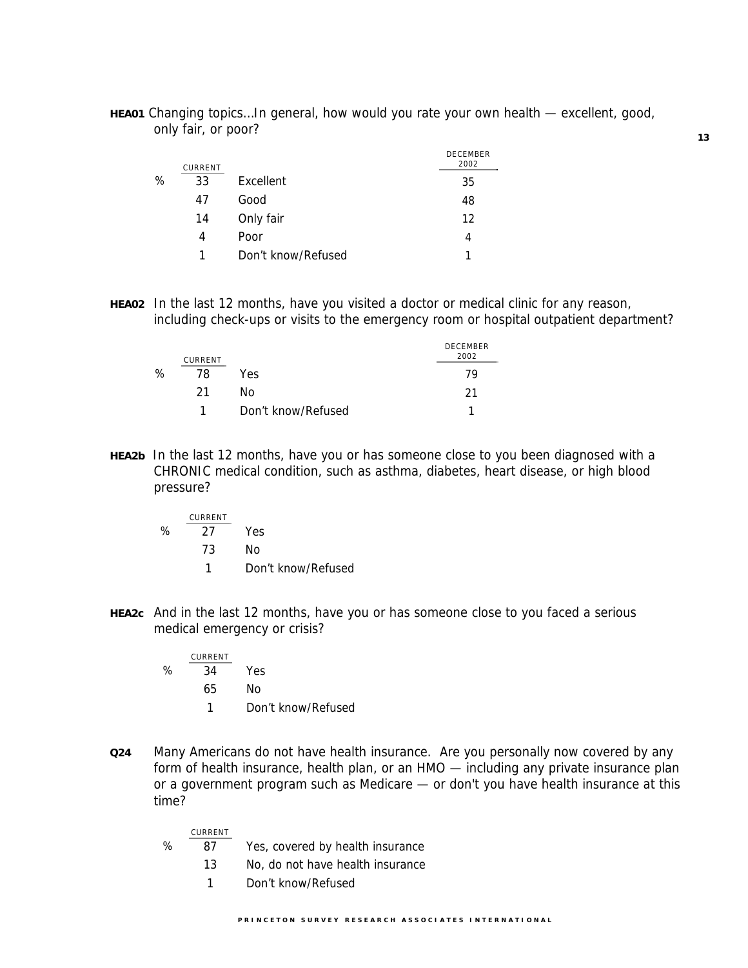**HEA01** Changing topics…In general, how would you rate your own health — excellent, good, only fair, or poor?

|   | CURRENT |                    | <b>DECEMBER</b><br>2002 |
|---|---------|--------------------|-------------------------|
| ℅ | 33      | Excellent          | 35                      |
|   | 47      | Good               | 48                      |
|   | 14      | Only fair          | 12                      |
|   | 4       | Poor               | 4                       |
|   |         | Don't know/Refused |                         |

**HEA02** In the last 12 months, have you visited a doctor or medical clinic for any reason, including check-ups or visits to the emergency room or hospital outpatient department?

|   | CURRENT |                    | <b>DECEMBER</b><br>2002 |
|---|---------|--------------------|-------------------------|
| ℅ | 78      | Yes                | 79                      |
|   | 21      | Nο                 | 21                      |
|   |         | Don't know/Refused |                         |

**HEA2b** In the last 12 months, have you or has someone close to you been diagnosed with a CHRONIC medical condition, such as asthma, diabetes, heart disease, or high blood pressure?

|   | CURRENT |                    |
|---|---------|--------------------|
| ℅ | 27      | Yes                |
|   | 73      | N٥                 |
|   |         | Don't know/Refused |

**HEA2c** And in the last 12 months, have you or has someone close to you faced a serious medical emergency or crisis?

| CURRENT |                    |
|---------|--------------------|
| 34      | Yes                |
| 65      | Nο                 |
|         | Don't know/Refused |
|         |                    |

**Q24** Many Americans do not have health insurance. Are you personally now covered by any form of health insurance, health plan, or an HMO — including any private insurance plan or a government program such as Medicare — or don't you have health insurance at this time?

|   | CURRENT |                                  |
|---|---------|----------------------------------|
| ℅ | 87      | Yes, covered by health insurance |
|   | 13      | No, do not have health insurance |
|   | 1.      | Don't know/Refused               |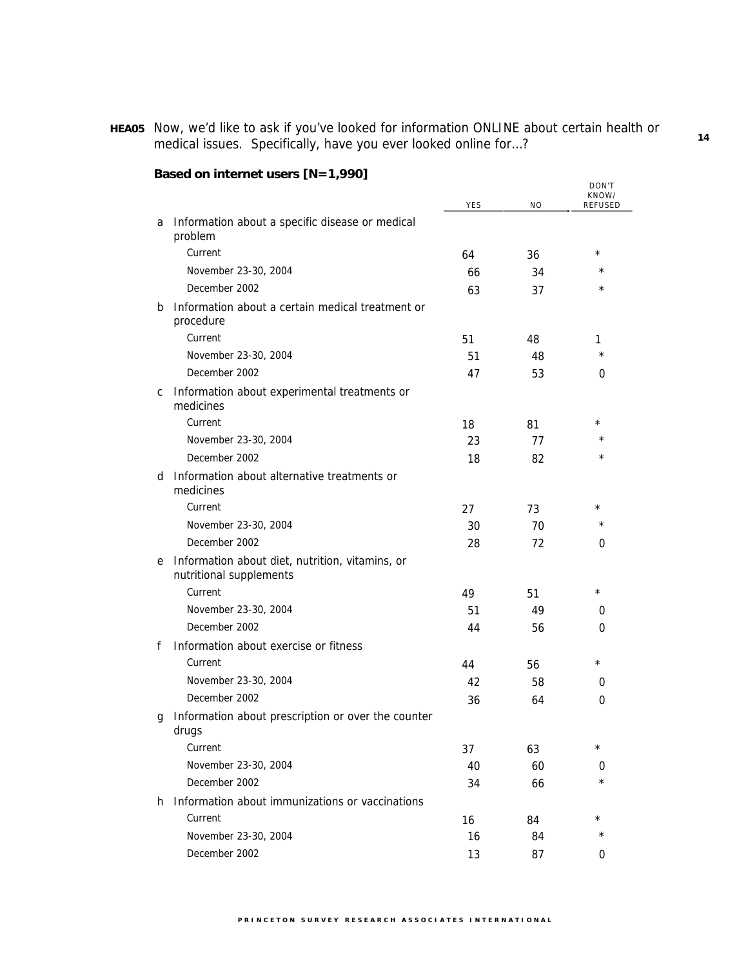**HEA05** Now, we'd like to ask if you've looked for information ONLINE about certain health or medical issues. Specifically, have you ever looked online for…?

|    |                                                                            | <b>YES</b> | <b>NO</b> | DON'T<br>KNOW/<br><b>REFUSED</b> |
|----|----------------------------------------------------------------------------|------------|-----------|----------------------------------|
| a  | Information about a specific disease or medical<br>problem                 |            |           |                                  |
|    | Current                                                                    | 64         | 36        | $^\star$                         |
|    | November 23-30, 2004                                                       | 66         | 34        | $^\star$                         |
|    | December 2002                                                              | 63         | 37        | $^\star$                         |
| b  | Information about a certain medical treatment or<br>procedure              |            |           |                                  |
|    | Current                                                                    | 51         | 48        | 1                                |
|    | November 23-30, 2004                                                       | 51         | 48        | $\star$                          |
|    | December 2002                                                              | 47         | 53        | 0                                |
| С  | Information about experimental treatments or<br>medicines                  |            |           |                                  |
|    | Current                                                                    | 18         | 81        | $^\star$                         |
|    | November 23-30, 2004                                                       | 23         | 77        | $^\star$                         |
|    | December 2002                                                              | 18         | 82        | $^\star$                         |
| d  | Information about alternative treatments or<br>medicines                   |            |           |                                  |
|    | Current                                                                    | 27         | 73        | $^\star$                         |
|    | November 23-30, 2004                                                       | 30         | 70        | $^\star$                         |
|    | December 2002                                                              | 28         | 72        | 0                                |
| e  | Information about diet, nutrition, vitamins, or<br>nutritional supplements |            |           |                                  |
|    | Current                                                                    | 49         | 51        | $\star$                          |
|    | November 23-30, 2004                                                       | 51         | 49        | 0                                |
|    | December 2002                                                              | 44         | 56        | 0                                |
| f  | Information about exercise or fitness                                      |            |           |                                  |
|    | Current                                                                    | 44         | 56        | $^\star$                         |
|    | November 23-30, 2004                                                       | 42         | 58        | 0                                |
|    | December 2002                                                              | 36         | 64        | 0                                |
| g  | Information about prescription or over the counter<br>drugs                |            |           |                                  |
|    | Current                                                                    | 37         | 63        | $^\star$                         |
|    | November 23-30, 2004                                                       | 40         | 60        | 0                                |
|    | December 2002                                                              | 34         | 66        | $^\star$                         |
| h. | Information about immunizations or vaccinations                            |            |           |                                  |
|    | Current                                                                    | 16         | 84        | $^\star$                         |
|    | November 23-30, 2004                                                       | 16         | 84        | $\star$                          |
|    | December 2002                                                              | 13         | 87        | 0                                |

# **Based on internet users [N=1,990]**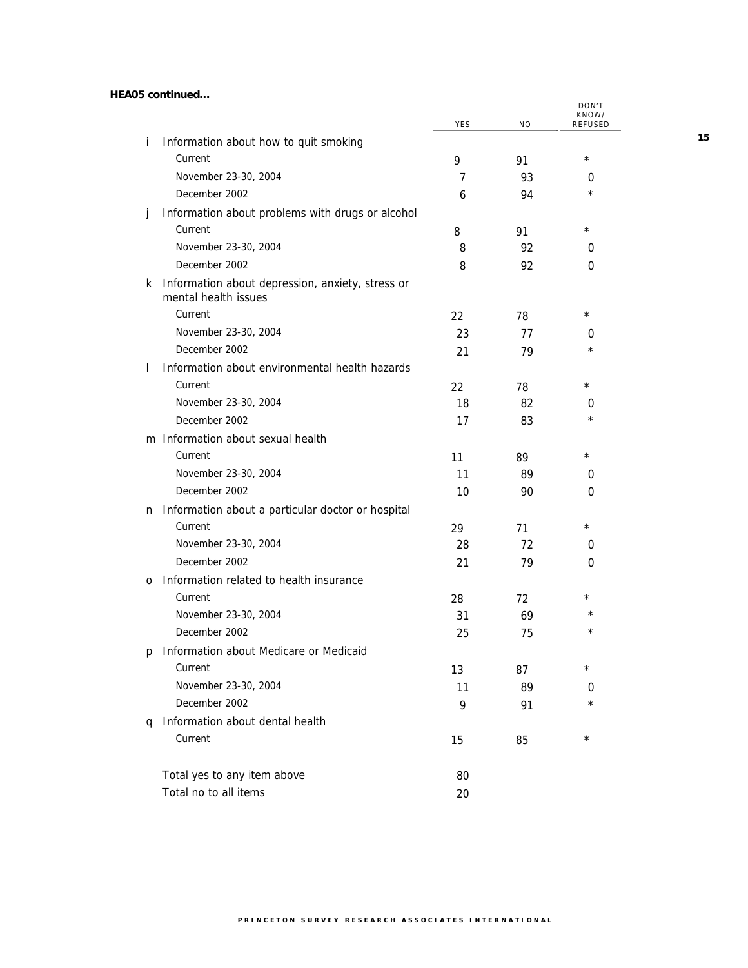**HEA05 continued…** 

|              |                                                                          | YES | ΝO | DON'T<br>KNOW/<br>REFUSED |
|--------------|--------------------------------------------------------------------------|-----|----|---------------------------|
| Ť            | Information about how to quit smoking                                    |     |    |                           |
|              | Current                                                                  | 9   | 91 | $^\star$                  |
|              | November 23-30, 2004                                                     | 7   | 93 | 0                         |
|              | December 2002                                                            | 6   | 94 | $^\star$                  |
| Ĵ            | Information about problems with drugs or alcohol                         |     |    |                           |
|              | Current                                                                  | 8   | 91 | $^\star$                  |
|              | November 23-30, 2004                                                     | 8   | 92 | 0                         |
|              | December 2002                                                            | 8   | 92 | 0                         |
| k.           | Information about depression, anxiety, stress or<br>mental health issues |     |    |                           |
|              | Current                                                                  | 22  | 78 | $^\star$                  |
|              | November 23-30, 2004                                                     | 23  | 77 | 0                         |
|              | December 2002                                                            | 21  | 79 | $\star$                   |
| $\mathbf{I}$ | Information about environmental health hazards                           |     |    |                           |
|              | Current                                                                  | 22  | 78 | $^\star$                  |
|              | November 23-30, 2004                                                     | 18  | 82 | 0                         |
|              | December 2002                                                            | 17  | 83 | $\star$                   |
|              | m Information about sexual health                                        |     |    |                           |
|              | Current                                                                  | 11  | 89 | $^\star$                  |
|              | November 23-30, 2004                                                     | 11  | 89 | 0                         |
|              | December 2002                                                            | 10  | 90 | 0                         |
| n            | Information about a particular doctor or hospital                        |     |    |                           |
|              | Current                                                                  | 29  | 71 | $^\star$                  |
|              | November 23-30, 2004                                                     | 28  | 72 | 0                         |
|              | December 2002                                                            | 21  | 79 | 0                         |
| 0            | Information related to health insurance                                  |     |    |                           |
|              | Current                                                                  | 28  | 72 | $^\star$                  |
|              | November 23-30, 2004                                                     | 31  | 69 | $\star$                   |
|              | December 2002                                                            | 25  | 75 | $^\star$                  |
| p            | Information about Medicare or Medicaid                                   |     |    |                           |
|              | Current                                                                  | 13  | 87 | $^\star$                  |
|              | November 23-30, 2004                                                     | 11  | 89 | 0                         |
|              | December 2002                                                            | 9   | 91 | $^\star$                  |
| q            | Information about dental health                                          |     |    |                           |
|              | Current                                                                  | 15  | 85 | $^\star$                  |
|              | Total yes to any item above                                              | 80  |    |                           |
|              | Total no to all items                                                    | 20  |    |                           |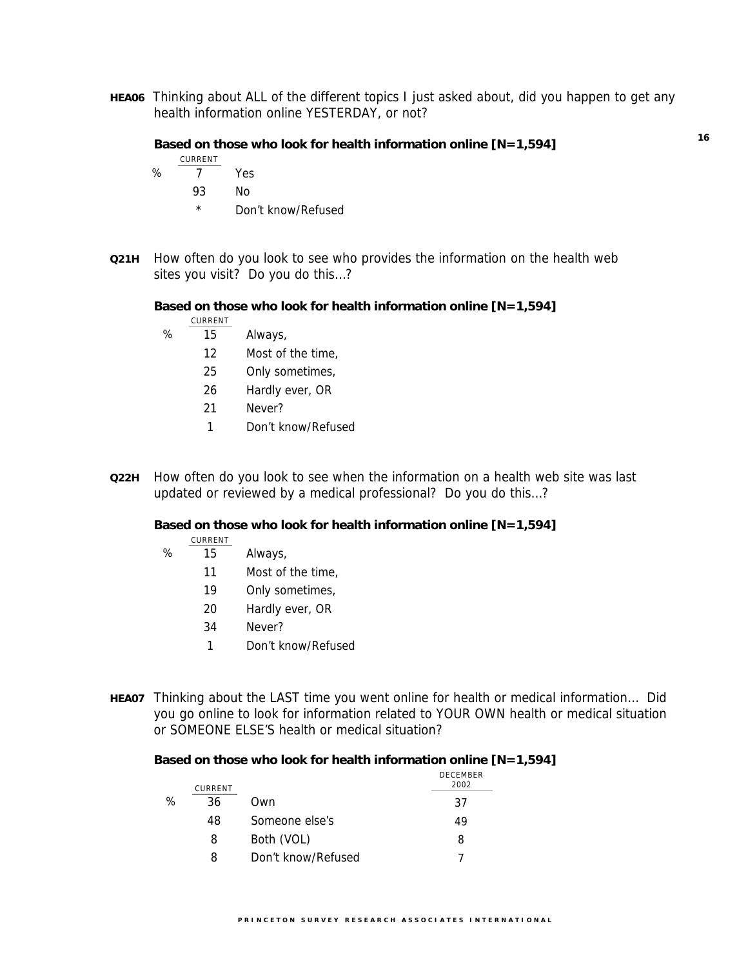**HEA06** Thinking about ALL of the different topics I just asked about, did you happen to get any health information online YESTERDAY, or not?

#### **Based on those who look for health information online [N=1,594]**

$$
\underline{\texttt{CURRENT}}
$$

- % 7 Yes
	- 93 No
	- \* Don't know/Refused
- **Q21H** How often do you look to see who provides the information on the health web sites you visit? Do you do this…?

**Based on those who look for health information online [N=1,594]** 

- CURRENT % 15 Always,
	- 12 Most of the time,
	- 25 Only sometimes,
	- 26 Hardly ever, OR
	- 21 Never?
	- 1 Don't know/Refused
- **Q22H** How often do you look to see when the information on a health web site was last updated or reviewed by a medical professional? Do you do this…?

**Based on those who look for health information online [N=1,594]** 

CURRENT

# %  $\overline{15}$  Always,

- 11 Most of the time,
- 19 Only sometimes,
- 20 Hardly ever, OR
- 34 Never?
- 1 Don't know/Refused
- **HEA07** Thinking about the LAST time you went online for health or medical information… Did you go online to look for information related to YOUR OWN health or medical situation or SOMEONE ELSE'S health or medical situation?

#### **Based on those who look for health information online [N=1,594]**

|   | CURRENT |                    | <b>DECEMBER</b><br>2002 |
|---|---------|--------------------|-------------------------|
| ℅ | 36      | Own                | 37                      |
|   | 48      | Someone else's     | 49                      |
|   | 8       | Both (VOL)         | 8                       |
|   | 8       | Don't know/Refused |                         |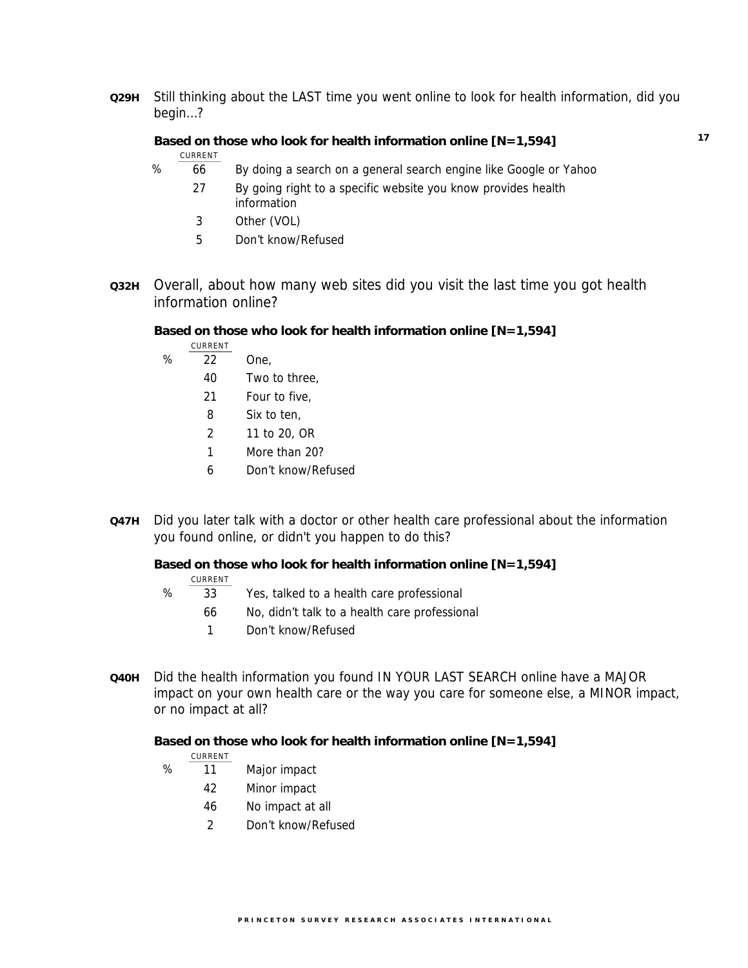**Q29H** Still thinking about the LAST time you went online to look for health information, did you begin…?

#### **Based on those who look for health information online [N=1,594]**

```
CURRENT
```
- % 66 By doing a search on a general search engine like Google or Yahoo
	- 27 By going right to a specific website you know provides health information
	- 3 Other (VOL)
	- 5 Don't know/Refused
- **Q32H** Overall, about how many web sites did you visit the last time you got health information online?

#### **Based on those who look for health information online [N=1,594]**

- CURRENT
- % 22 One,
	- 40 Two to three,
	- 21 Four to five,
	- 8 Six to ten,
	- 2 11 to 20, OR
	- 1 More than 20?
	- 6 Don't know/Refused
- **Q47H** Did you later talk with a doctor or other health care professional about the information you found online, or didn't you happen to do this?

#### **Based on those who look for health information online [N=1,594]**

| CURRENT |
|---------|
|         |

- $\frac{96}{33}$  Yes, talked to a health care professional
	- 66 No, didn't talk to a health care professional
		- 1 Don't know/Refused
- **Q40H** Did the health information you found IN YOUR LAST SEARCH online have a MAJOR impact on your own health care or the way you care for someone else, a MINOR impact, or no impact at all?

**Based on those who look for health information online [N=1,594]**

#### CURRENT

- % 11 Major impact
	- 42 Minor impact
	- 46 No impact at all
	- 2 Don't know/Refused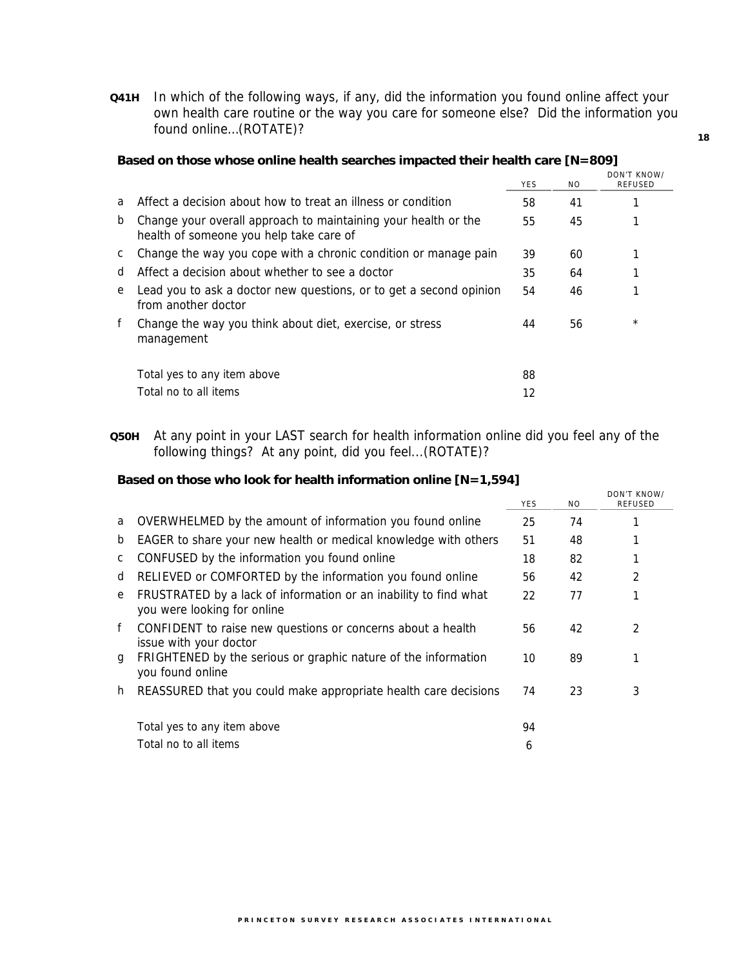**Q41H** In which of the following ways, if any, did the information you found online affect your own health care routine or the way you care for someone else? Did the information you found online…(ROTATE)?

|   |                                                                                                           | <b>YES</b> | NO. | DON'T KNOW/<br><b>REFUSED</b> |
|---|-----------------------------------------------------------------------------------------------------------|------------|-----|-------------------------------|
| a | Affect a decision about how to treat an illness or condition                                              | 58         | 41  |                               |
| b | Change your overall approach to maintaining your health or the<br>health of someone you help take care of | 55         | 45  |                               |
| C | Change the way you cope with a chronic condition or manage pain                                           | 39         | 60  |                               |
| d | Affect a decision about whether to see a doctor                                                           | 35         | 64  |                               |
| e | Lead you to ask a doctor new questions, or to get a second opinion<br>from another doctor                 | 54         | 46  |                               |
| f | Change the way you think about diet, exercise, or stress<br>management                                    | 44         | 56  | $^\star$                      |
|   | Total yes to any item above                                                                               | 88         |     |                               |
|   | Total no to all items                                                                                     | 12         |     |                               |

#### **Based on those whose online health searches impacted their health care [N=809]**

**Q50H** At any point in your LAST search for health information online did you feel any of the following things? At any point, did you feel...(ROTATE)?

#### **Based on those who look for health information online [N=1,594]**

|    |                                                                                                 | <b>YES</b> | N <sub>O</sub> | DON'T KNOW/<br><b>REFUSED</b> |
|----|-------------------------------------------------------------------------------------------------|------------|----------------|-------------------------------|
| a  | OVERWHELMED by the amount of information you found online                                       | 25         | 74             |                               |
| b  | EAGER to share your new health or medical knowledge with others                                 | 51         | 48             |                               |
| C  | CONFUSED by the information you found online                                                    | 18         | 82             |                               |
| d  | RELIEVED or COMFORTED by the information you found online                                       | 56         | 42             | 2                             |
| e  | FRUSTRATED by a lack of information or an inability to find what<br>you were looking for online | 22         | 77             |                               |
| f  | CONFIDENT to raise new questions or concerns about a health<br>issue with your doctor           | 56         | 42             | 2                             |
| q  | FRIGHTENED by the serious or graphic nature of the information<br>you found online              | 10         | 89             |                               |
| h. | REASSURED that you could make appropriate health care decisions                                 | 74         | 23             | 3                             |
|    | Total yes to any item above                                                                     | 94         |                |                               |
|    | Total no to all items                                                                           | 6          |                |                               |

#### **18**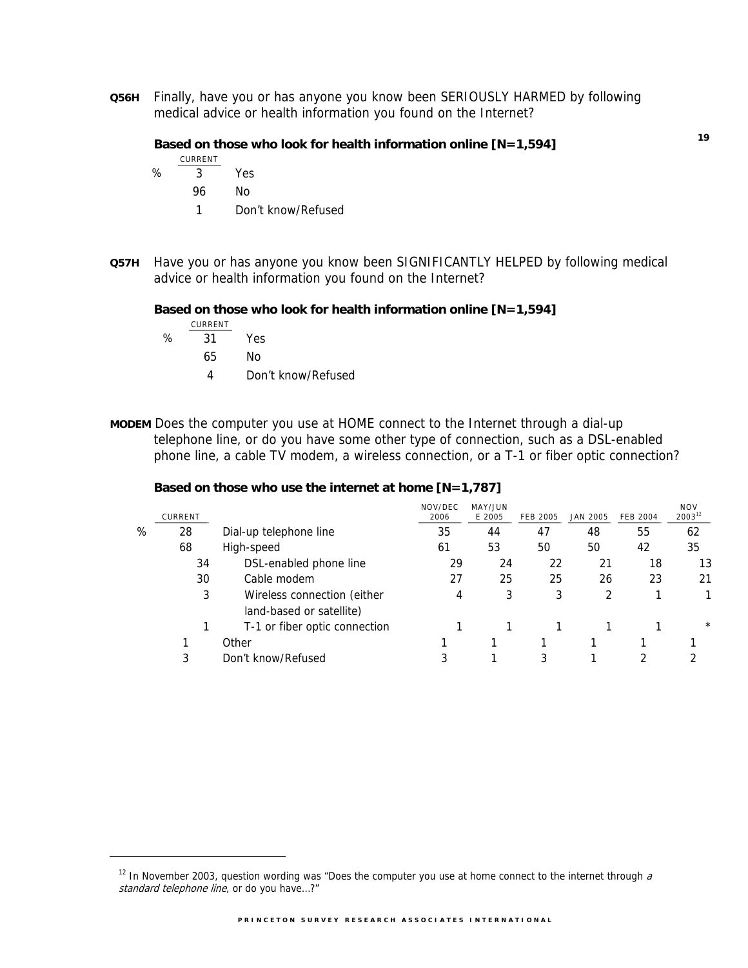**Q56H** Finally, have you or has anyone you know been SERIOUSLY HARMED by following medical advice or health information you found on the Internet?

#### **Based on those who look for health information online [N=1,594]**

$$
\underbrace{\texttt{CURRENT}}
$$

- % 3 Yes
	- 96 No
	- 1 Don't know/Refused
- **Q57H** Have you or has anyone you know been SIGNIFICANTLY HELPED by following medical advice or health information you found on the Internet?

#### **Based on those who look for health information online [N=1,594]**

CURRENT % 31 Yes

 $\overline{a}$ 

- 65 No
- 4 Don't know/Refused
- **MODEM** Does the computer you use at HOME connect to the Internet through a dial-up telephone line, or do you have some other type of connection, such as a DSL-enabled phone line, a cable TV modem, a wireless connection, or a T-1 or fiber optic connection?

#### **Based on those who use the internet at home [N=1,787]**

|   | CURRENT |                                                         | NOV/DEC<br>2006 | MAY/JUN<br>E 2005 | <b>FEB 2005</b> | <b>JAN 2005</b> | <b>FEB 2004</b> | <b>NOV</b><br>$2003^{12}$ |
|---|---------|---------------------------------------------------------|-----------------|-------------------|-----------------|-----------------|-----------------|---------------------------|
| % | 28      | Dial-up telephone line                                  | 35              | 44                | 47              | 48              | 55              | 62                        |
|   | 68      | High-speed                                              | 61              | 53                | 50              | 50              | 42              | 35                        |
|   | 34      | DSL-enabled phone line                                  | 29              | 24                | 22              | 21              | 18              | 13                        |
|   | 30      | Cable modem                                             | 27              | 25                | 25              | 26              | 23              | 21                        |
|   | 3       | Wireless connection (either<br>land-based or satellite) | 4               | 3                 | 3               | 2               |                 |                           |
|   |         | T-1 or fiber optic connection                           |                 |                   |                 |                 |                 | $^\star$                  |
|   |         | Other                                                   |                 |                   |                 |                 |                 |                           |
|   | 3       | Don't know/Refused                                      |                 |                   |                 |                 |                 |                           |
|   |         |                                                         |                 |                   |                 |                 |                 |                           |

 $12$  In November 2003, question wording was "Does the computer you use at home connect to the internet through  $a$ standard telephone line, or do you have...?"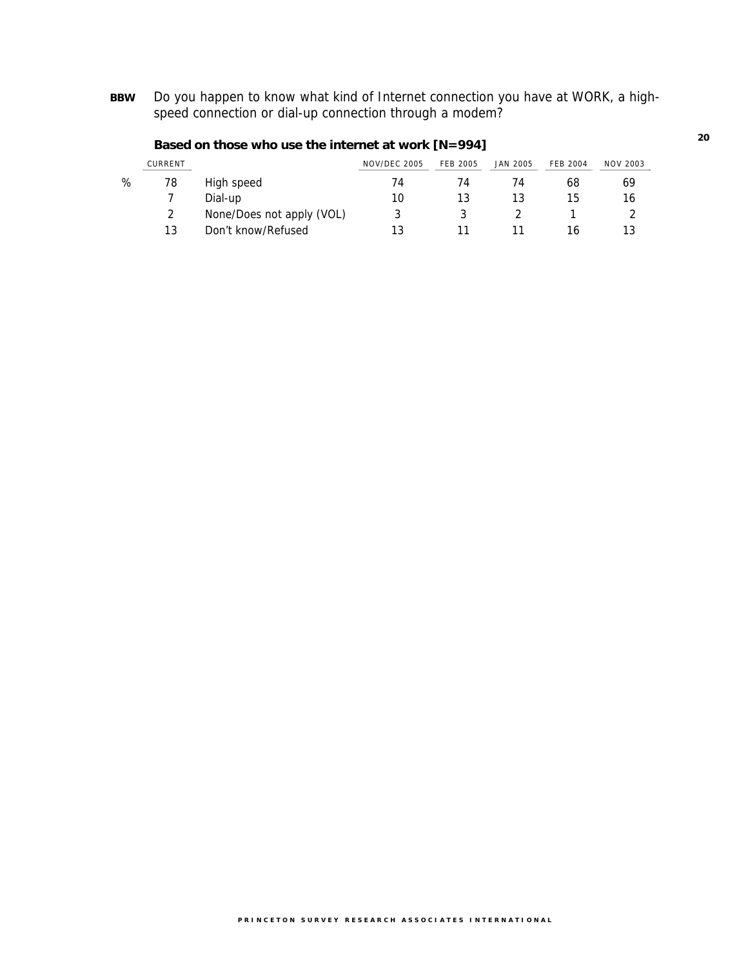**BBW** Do you happen to know what kind of Internet connection you have at WORK, a highspeed connection or dial-up connection through a modem?

|   | CURRENT |                           | <b>NOV/DEC 2005</b> | <b>FEB 2005</b> | <b>JAN 2005</b> | <b>FEB 2004</b> | <b>NOV 2003</b> |
|---|---------|---------------------------|---------------------|-----------------|-----------------|-----------------|-----------------|
| % | 78      | High speed                | 74                  | 74              | 74              | 68              | 69              |
|   |         | Dial-up                   | 10                  | 13              | 13              | 15              | 16              |
|   |         | None/Does not apply (VOL) |                     |                 |                 |                 |                 |
|   | 13      | Don't know/Refused        | 13                  |                 |                 | 16              |                 |

### **Based on those who use the internet at work [N=994]**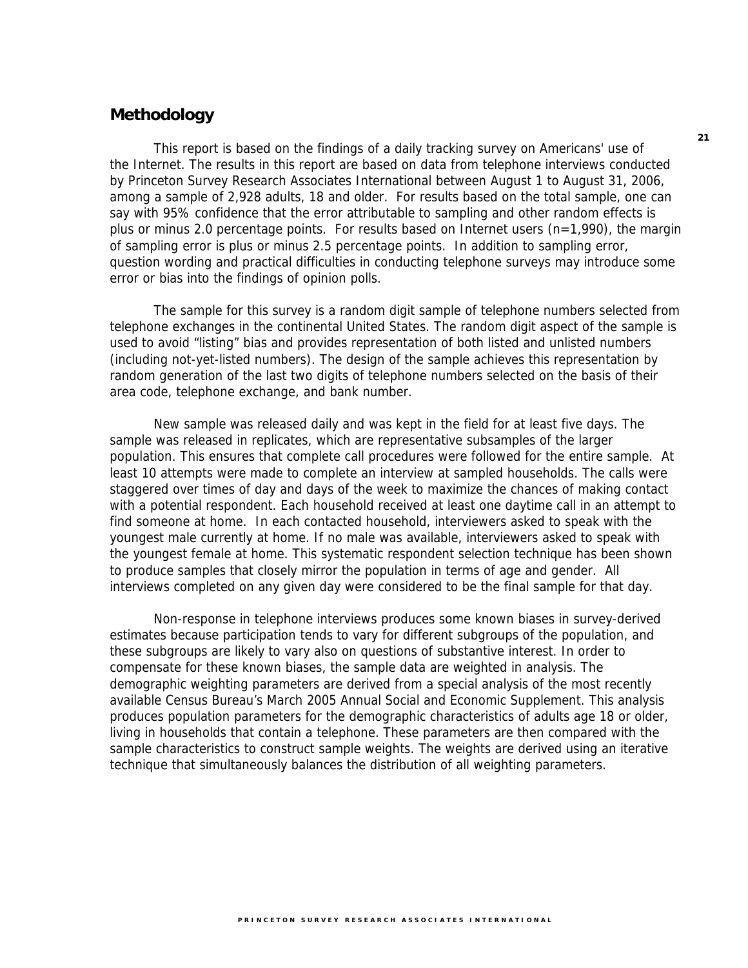### **Methodology**

This report is based on the findings of a daily tracking survey on Americans' use of the Internet. The results in this report are based on data from telephone interviews conducted by Princeton Survey Research Associates International between August 1 to August 31, 2006, among a sample of 2,928 adults, 18 and older. For results based on the total sample, one can say with 95% confidence that the error attributable to sampling and other random effects is plus or minus 2.0 percentage points. For results based on Internet users (n=1,990), the margin of sampling error is plus or minus 2.5 percentage points. In addition to sampling error, question wording and practical difficulties in conducting telephone surveys may introduce some error or bias into the findings of opinion polls.

The sample for this survey is a random digit sample of telephone numbers selected from telephone exchanges in the continental United States. The random digit aspect of the sample is used to avoid "listing" bias and provides representation of both listed and unlisted numbers (including not-yet-listed numbers). The design of the sample achieves this representation by random generation of the last two digits of telephone numbers selected on the basis of their area code, telephone exchange, and bank number.

New sample was released daily and was kept in the field for at least five days. The sample was released in replicates, which are representative subsamples of the larger population. This ensures that complete call procedures were followed for the entire sample. At least 10 attempts were made to complete an interview at sampled households. The calls were staggered over times of day and days of the week to maximize the chances of making contact with a potential respondent. Each household received at least one daytime call in an attempt to find someone at home. In each contacted household, interviewers asked to speak with the youngest male currently at home. If no male was available, interviewers asked to speak with the youngest female at home. This systematic respondent selection technique has been shown to produce samples that closely mirror the population in terms of age and gender. All interviews completed on any given day were considered to be the final sample for that day.

Non-response in telephone interviews produces some known biases in survey-derived estimates because participation tends to vary for different subgroups of the population, and these subgroups are likely to vary also on questions of substantive interest. In order to compensate for these known biases, the sample data are weighted in analysis. The demographic weighting parameters are derived from a special analysis of the most recently available Census Bureau's March 2005 Annual Social and Economic Supplement. This analysis produces population parameters for the demographic characteristics of adults age 18 or older, living in households that contain a telephone. These parameters are then compared with the sample characteristics to construct sample weights. The weights are derived using an iterative technique that simultaneously balances the distribution of all weighting parameters.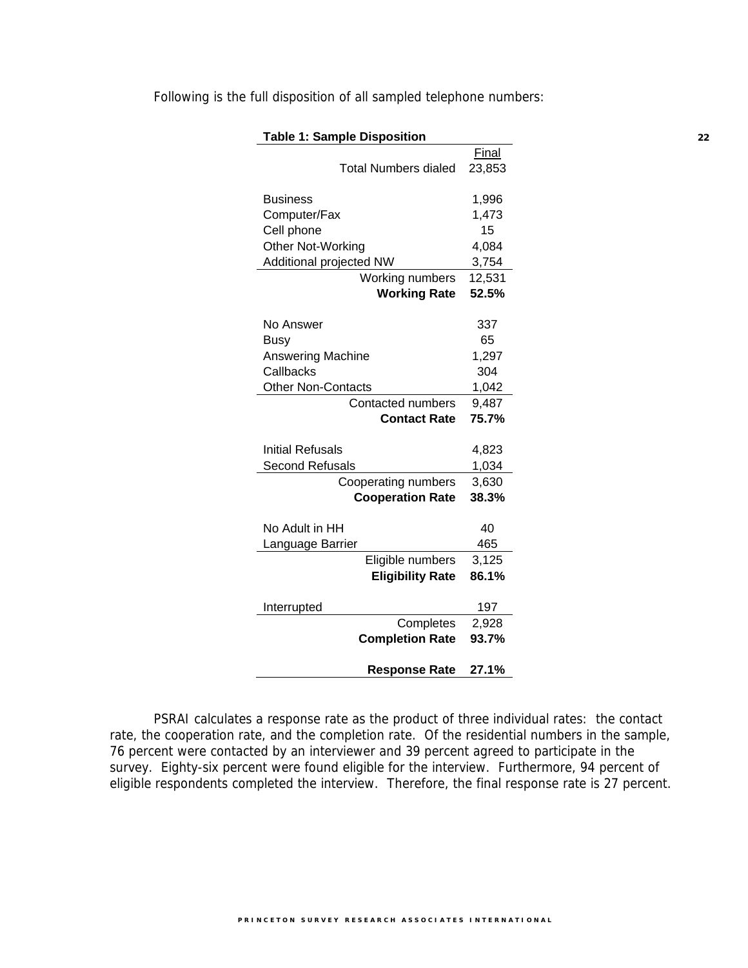| <b>Table 1: Sample Disposition</b> |                        |
|------------------------------------|------------------------|
| <b>Total Numbers dialed</b>        | <b>Final</b><br>23,853 |
| <b>Business</b>                    | 1,996                  |
| Computer/Fax                       | 1,473                  |
| Cell phone                         | 15                     |
| Other Not-Working                  | 4,084                  |
| Additional projected NW            | 3,754                  |
| Working numbers                    | 12,531                 |
| <b>Working Rate</b>                | 52.5%                  |
|                                    |                        |
| No Answer                          | 337                    |
| Busy                               | 65                     |
| <b>Answering Machine</b>           | 1,297                  |
| Callbacks                          | 304                    |
| <b>Other Non-Contacts</b>          | 1,042                  |
| Contacted numbers                  | 9,487                  |
| <b>Contact Rate</b>                | 75.7%                  |
| <b>Initial Refusals</b>            | 4,823                  |
| <b>Second Refusals</b>             | 1,034                  |
| Cooperating numbers                | 3,630                  |
| <b>Cooperation Rate</b>            | 38.3%                  |
|                                    |                        |
| No Adult in HH                     | 40                     |
| Language Barrier                   | 465                    |
| Eligible numbers                   | 3,125                  |
| <b>Eligibility Rate</b>            | 86.1%                  |
| Interrupted                        | 197                    |
| Completes                          | 2,928                  |
| <b>Completion Rate</b>             | 93.7%                  |
| <b>Response Rate</b>               | 27.1%                  |

Following is the full disposition of all sampled telephone numbers:

PSRAI calculates a response rate as the product of three individual rates: the contact rate, the cooperation rate, and the completion rate. Of the residential numbers in the sample, 76 percent were contacted by an interviewer and 39 percent agreed to participate in the survey. Eighty-six percent were found eligible for the interview. Furthermore, 94 percent of eligible respondents completed the interview. Therefore, the final response rate is 27 percent.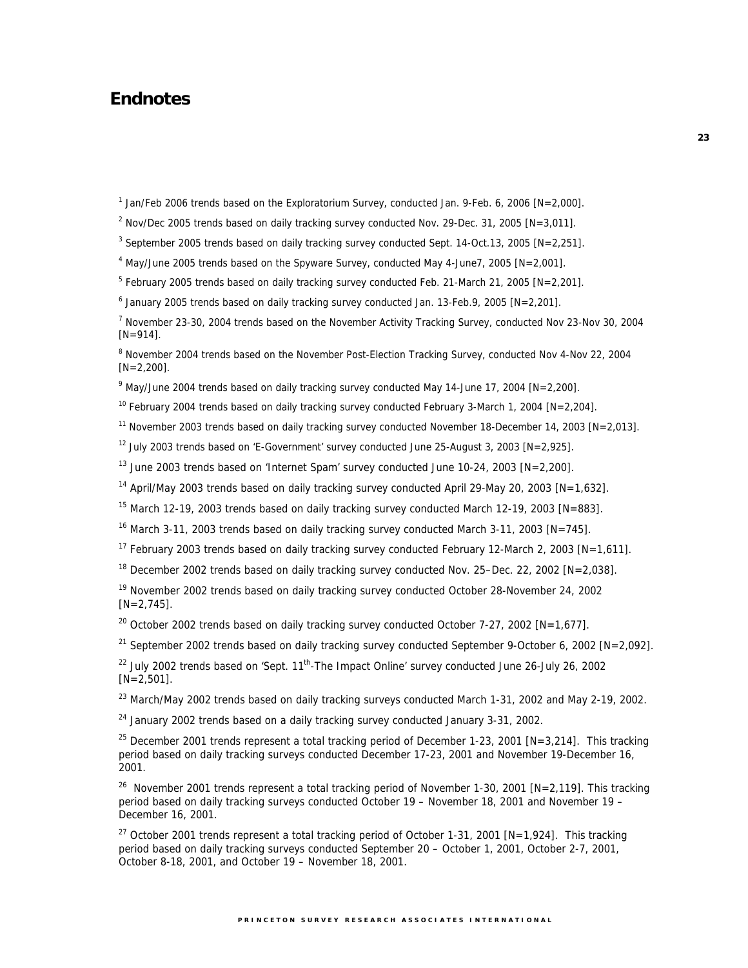# **Endnotes**

<sup>1</sup> Jan/Feb 2006 trends based on the Exploratorium Survey, conducted Jan. 9-Feb. 6, 2006 [N=2,000].

<sup>2</sup> Nov/Dec 2005 trends based on daily tracking survey conducted Nov. 29-Dec. 31, 2005 [N=3,011].

<sup>3</sup> September 2005 trends based on daily tracking survey conducted Sept. 14-Oct.13, 2005 [N=2,251].

<sup>4</sup> May/June 2005 trends based on the Spyware Survey, conducted May 4-June7, 2005 [N=2,001].

 $5$  February 2005 trends based on daily tracking survey conducted Feb. 21-March 21, 2005 [N=2,201].

6 January 2005 trends based on daily tracking survey conducted Jan. 13-Feb.9, 2005 [N=2,201].

<sup>7</sup> November 23-30, 2004 trends based on the November Activity Tracking Survey, conducted Nov 23-Nov 30, 2004  $[N=914]$ .

<sup>8</sup> November 2004 trends based on the November Post-Election Tracking Survey, conducted Nov 4-Nov 22, 2004  $[N=2,200]$ .

9 May/June 2004 trends based on daily tracking survey conducted May 14-June 17, 2004 [N=2,200].

<sup>10</sup> February 2004 trends based on daily tracking survey conducted February 3-March 1, 2004 [N=2,204].

<sup>11</sup> November 2003 trends based on daily tracking survey conducted November 18-December 14, 2003 [N=2,013].

<sup>12</sup> July 2003 trends based on 'E-Government' survey conducted June 25-August 3, 2003 [N=2,925].

<sup>13</sup> June 2003 trends based on 'Internet Spam' survey conducted June 10-24, 2003  $[N=2,200]$ .

<sup>14</sup> April/May 2003 trends based on daily tracking survey conducted April 29-May 20, 2003 [N=1,632].

<sup>15</sup> March 12-19, 2003 trends based on daily tracking survey conducted March 12-19, 2003 [N=883].

<sup>16</sup> March 3-11, 2003 trends based on daily tracking survey conducted March 3-11, 2003 [N=745].

<sup>17</sup> February 2003 trends based on daily tracking survey conducted February 12-March 2, 2003 [N=1,611].

<sup>18</sup> December 2002 trends based on daily tracking survey conducted Nov. 25–Dec. 22, 2002  $[ N = 2, 038 ]$ .

<sup>19</sup> November 2002 trends based on daily tracking survey conducted October 28-November 24, 2002  $[N=2,745]$ .

<sup>20</sup> October 2002 trends based on daily tracking survey conducted October 7-27, 2002 [N=1,677].

<sup>21</sup> September 2002 trends based on daily tracking survey conducted September 9-October 6, 2002 [N=2,092].

 $22$  July 2002 trends based on 'Sept.  $11<sup>th</sup>$ -The Impact Online' survey conducted June 26-July 26, 2002  $[N=2,501]$ .

<sup>23</sup> March/May 2002 trends based on daily tracking surveys conducted March 1-31, 2002 and May 2-19, 2002.

 $24$  January 2002 trends based on a daily tracking survey conducted January 3-31, 2002.

<sup>25</sup> December 2001 trends represent a total tracking period of December 1-23, 2001 [N=3,214]. This tracking period based on daily tracking surveys conducted December 17-23, 2001 and November 19-December 16, 2001.

<sup>26</sup> November 2001 trends represent a total tracking period of November 1-30, 2001 [N=2,119]. This tracking period based on daily tracking surveys conducted October 19 – November 18, 2001 and November 19 – December 16, 2001.

<sup>27</sup> October 2001 trends represent a total tracking period of October 1-31, 2001 [N=1,924]. This tracking period based on daily tracking surveys conducted September 20 – October 1, 2001, October 2-7, 2001, October 8-18, 2001, and October 19 – November 18, 2001.